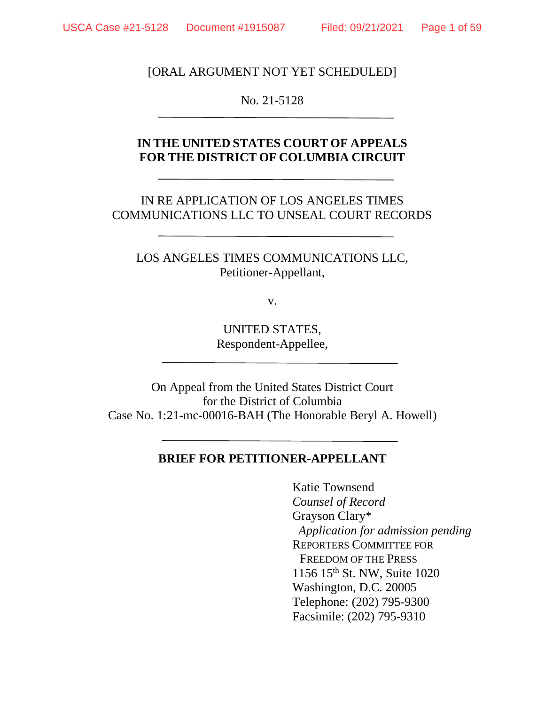[ORAL ARGUMENT NOT YET SCHEDULED]

No. 21-5128

### **IN THE UNITED STATES COURT OF APPEALS FOR THE DISTRICT OF COLUMBIA CIRCUIT**

IN RE APPLICATION OF LOS ANGELES TIMES COMMUNICATIONS LLC TO UNSEAL COURT RECORDS

LOS ANGELES TIMES COMMUNICATIONS LLC, Petitioner-Appellant,

v.

UNITED STATES, Respondent-Appellee,

On Appeal from the United States District Court for the District of Columbia Case No. 1:21-mc-00016-BAH (The Honorable Beryl A. Howell)

### **BRIEF FOR PETITIONER-APPELLANT**

Katie Townsend *Counsel of Record* Grayson Clary\* *Application for admission pending* REPORTERS COMMITTEE FOR FREEDOM OF THE PRESS 1156 15th St. NW, Suite 1020 Washington, D.C. 20005 Telephone: (202) 795-9300 Facsimile: (202) 795-9310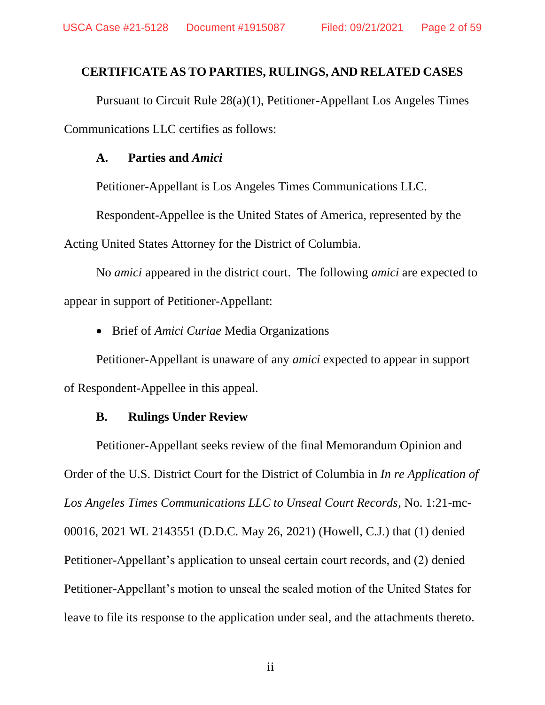### **CERTIFICATE AS TO PARTIES, RULINGS, AND RELATED CASES**

Pursuant to Circuit Rule 28(a)(1), Petitioner-Appellant Los Angeles Times Communications LLC certifies as follows:

#### **A. Parties and** *Amici*

Petitioner-Appellant is Los Angeles Times Communications LLC.

Respondent-Appellee is the United States of America, represented by the Acting United States Attorney for the District of Columbia.

No *amici* appeared in the district court. The following *amici* are expected to appear in support of Petitioner-Appellant:

• Brief of *Amici Curiae* Media Organizations

Petitioner-Appellant is unaware of any *amici* expected to appear in support of Respondent-Appellee in this appeal.

### **B. Rulings Under Review**

Petitioner-Appellant seeks review of the final Memorandum Opinion and Order of the U.S. District Court for the District of Columbia in *In re Application of Los Angeles Times Communications LLC to Unseal Court Records*, No. 1:21-mc-00016, 2021 WL 2143551 (D.D.C. May 26, 2021) (Howell, C.J.) that (1) denied Petitioner-Appellant's application to unseal certain court records, and (2) denied Petitioner-Appellant's motion to unseal the sealed motion of the United States for leave to file its response to the application under seal, and the attachments thereto.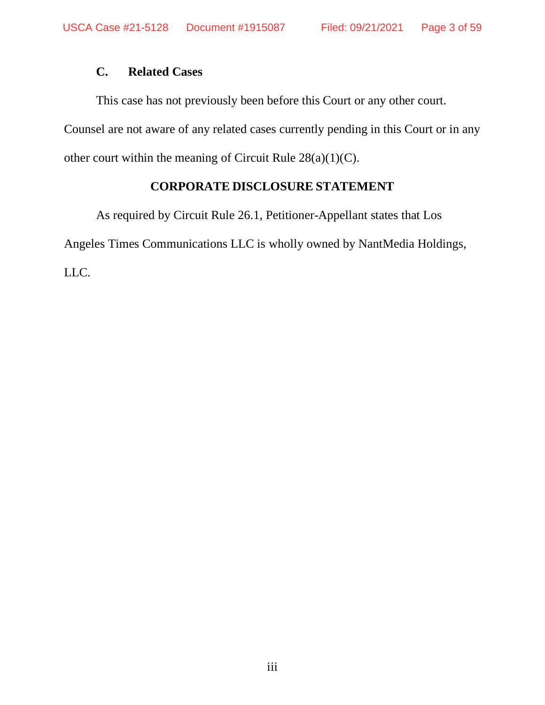# **C. Related Cases**

This case has not previously been before this Court or any other court.

Counsel are not aware of any related cases currently pending in this Court or in any other court within the meaning of Circuit Rule 28(a)(1)(C).

### **CORPORATE DISCLOSURE STATEMENT**

As required by Circuit Rule 26.1, Petitioner-Appellant states that Los Angeles Times Communications LLC is wholly owned by NantMedia Holdings, LLC.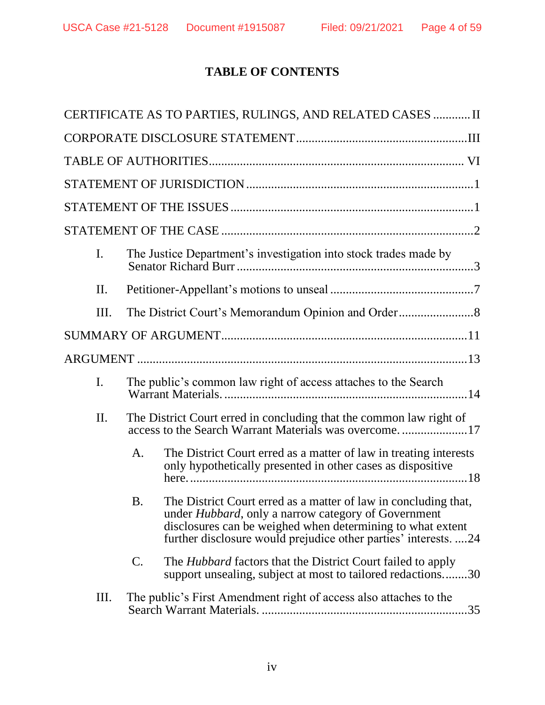# **TABLE OF CONTENTS**

|                |                | CERTIFICATE AS TO PARTIES, RULINGS, AND RELATED CASES  II                                                                                                                                                                                                     |  |
|----------------|----------------|---------------------------------------------------------------------------------------------------------------------------------------------------------------------------------------------------------------------------------------------------------------|--|
|                |                |                                                                                                                                                                                                                                                               |  |
|                |                |                                                                                                                                                                                                                                                               |  |
|                |                |                                                                                                                                                                                                                                                               |  |
|                |                |                                                                                                                                                                                                                                                               |  |
|                |                |                                                                                                                                                                                                                                                               |  |
| $\mathbf{I}$ . |                | The Justice Department's investigation into stock trades made by                                                                                                                                                                                              |  |
| II.            |                |                                                                                                                                                                                                                                                               |  |
| III.           |                |                                                                                                                                                                                                                                                               |  |
|                |                |                                                                                                                                                                                                                                                               |  |
|                |                |                                                                                                                                                                                                                                                               |  |
| $\mathbf{I}$ . |                | The public's common law right of access attaches to the Search                                                                                                                                                                                                |  |
| II.            |                | The District Court erred in concluding that the common law right of<br>access to the Search Warrant Materials was overcome17                                                                                                                                  |  |
|                | A.             | The District Court erred as a matter of law in treating interests<br>only hypothetically presented in other cases as dispositive                                                                                                                              |  |
|                | <b>B.</b>      | The District Court erred as a matter of law in concluding that,<br>under <i>Hubbard</i> , only a narrow category of Government<br>disclosures can be weighed when determining to what extent<br>further disclosure would prejudice other parties' interests24 |  |
|                | $\mathbf{C}$ . | The <i>Hubbard</i> factors that the District Court failed to apply<br>support unsealing, subject at most to tailored redactions30                                                                                                                             |  |
| Ш.             |                | The public's First Amendment right of access also attaches to the<br>35                                                                                                                                                                                       |  |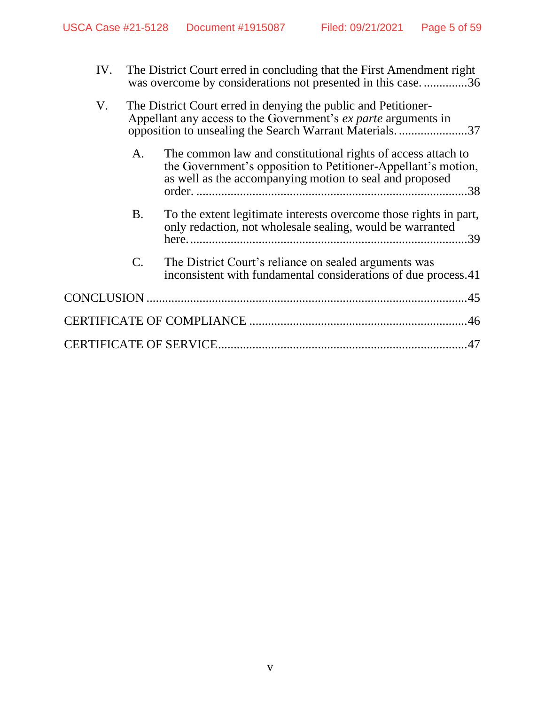| IV. |    | The District Court erred in concluding that the First Amendment right<br>was overcome by considerations not presented in this case36                                                              |
|-----|----|---------------------------------------------------------------------------------------------------------------------------------------------------------------------------------------------------|
| V.  |    | The District Court erred in denying the public and Petitioner-<br>Appellant any access to the Government's <i>ex parte</i> arguments in<br>opposition to unsealing the Search Warrant Materials37 |
|     | A. | The common law and constitutional rights of access attach to<br>the Government's opposition to Petitioner-Appellant's motion,<br>as well as the accompanying motion to seal and proposed          |
|     | B. | To the extent legitimate interests overcome those rights in part,<br>only redaction, not wholesale sealing, would be warranted                                                                    |
|     | C. | The District Court's reliance on sealed arguments was<br>inconsistent with fundamental considerations of due process.41                                                                           |
|     |    |                                                                                                                                                                                                   |
|     |    |                                                                                                                                                                                                   |
|     |    |                                                                                                                                                                                                   |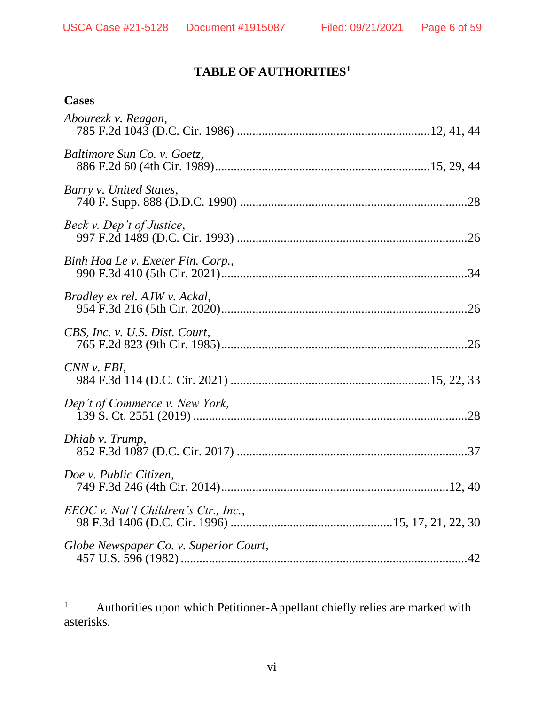# **TABLE OF AUTHORITIES<sup>1</sup>**

| <b>Cases</b>                                  |
|-----------------------------------------------|
| Abourezk v. Reagan,                           |
| Baltimore Sun Co. v. Goetz,                   |
| Barry v. United States,                       |
| Beck v. Dep't of Justice,                     |
| Binh Hoa Le v. Exeter Fin. Corp.,             |
| Bradley ex rel. AJW v. Ackal,                 |
| CBS, Inc. v. U.S. Dist. Court,                |
| CNN v. FBI,                                   |
| Dep't of Commerce v. New York,                |
| Dhiab v. Trump,                               |
| Doe v. Public Citizen,                        |
| $EEOC v.$ Nat'l Children's Ctr., Inc.,        |
| Globe Newspaper Co. v. Superior Court,<br>.42 |

<sup>&</sup>lt;sup>1</sup> Authorities upon which Petitioner-Appellant chiefly relies are marked with asterisks.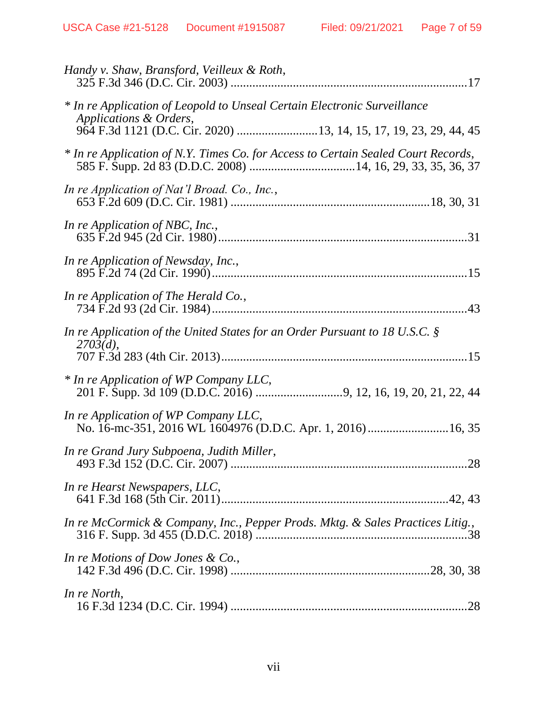| Handy v. Shaw, Bransford, Veilleux & Roth,                                                                                                                              |  |
|-------------------------------------------------------------------------------------------------------------------------------------------------------------------------|--|
| * In re Application of Leopold to Unseal Certain Electronic Surveillance<br>Applications & Orders,<br>964 F.3d 1121 (D.C. Cir. 2020) 13, 14, 15, 17, 19, 23, 29, 44, 45 |  |
| * In re Application of N.Y. Times Co. for Access to Certain Sealed Court Records,                                                                                       |  |
| In re Application of Nat'l Broad. Co., Inc.,                                                                                                                            |  |
| In re Application of NBC, Inc.,                                                                                                                                         |  |
| In re Application of Newsday, Inc.,                                                                                                                                     |  |
| In re Application of The Herald Co.,                                                                                                                                    |  |
| In re Application of the United States for an Order Pursuant to 18 U.S.C. $\S$<br>2703(d),                                                                              |  |
| * In re Application of WP Company LLC,                                                                                                                                  |  |
| In re Application of WP Company LLC,<br>No. 16-mc-351, 2016 WL 1604976 (D.D.C. Apr. 1, 2016) 16, 35                                                                     |  |
| In re Grand Jury Subpoena, Judith Miller,                                                                                                                               |  |
| In re Hearst Newspapers, LLC,                                                                                                                                           |  |
| In re McCormick & Company, Inc., Pepper Prods. Mktg. & Sales Practices Litig.,                                                                                          |  |
| In re Motions of Dow Jones $\&$ Co.,                                                                                                                                    |  |
| In re North,                                                                                                                                                            |  |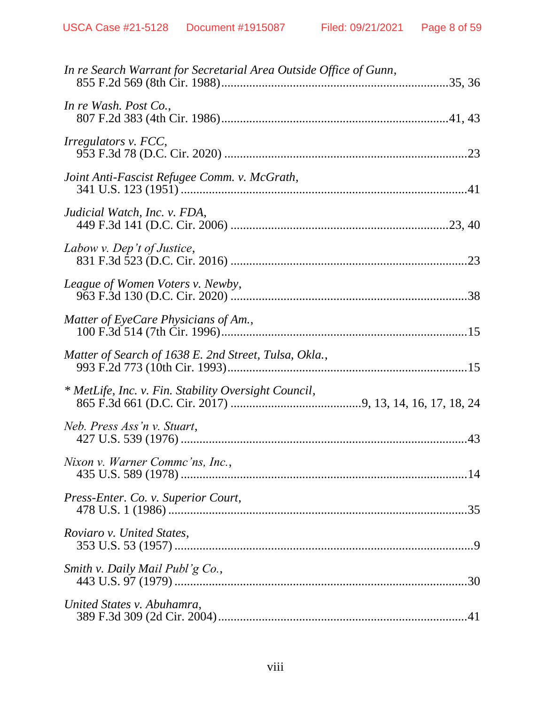| In re Search Warrant for Secretarial Area Outside Office of Gunn, |  |
|-------------------------------------------------------------------|--|
| In re Wash. Post Co.,                                             |  |
| <i>Irregulators v. FCC,</i>                                       |  |
| Joint Anti-Fascist Refugee Comm. v. McGrath,                      |  |
| Judicial Watch, Inc. v. FDA,                                      |  |
| Labow v. Dep't of Justice,                                        |  |
| League of Women Voters v. Newby,                                  |  |
| Matter of EyeCare Physicians of Am.,                              |  |
| Matter of Search of 1638 E. 2nd Street, Tulsa, Okla.,             |  |
| * MetLife, Inc. v. Fin. Stability Oversight Council,              |  |
| Neb. Press Ass'n v. Stuart,                                       |  |
| Nixon v. Warner Commc'ns, Inc.,                                   |  |
| Press-Enter. Co. v. Superior Court,                               |  |
| Roviaro v. United States,                                         |  |
| Smith v. Daily Mail Publ'g Co.,                                   |  |
| United States v. Abuhamra,                                        |  |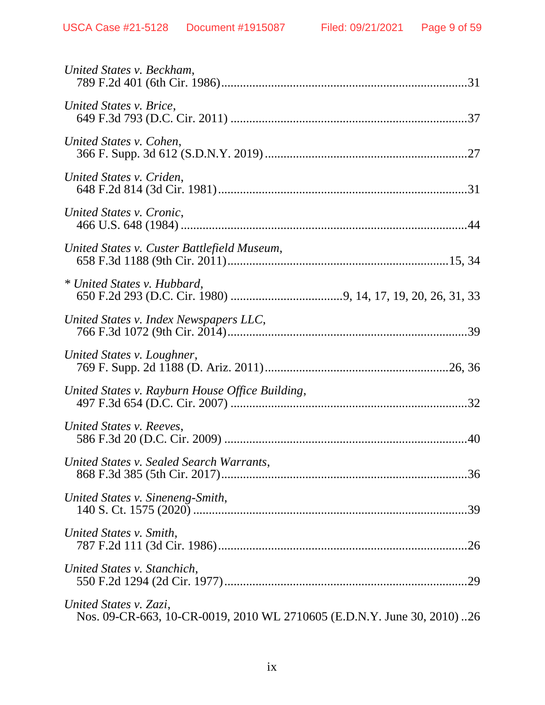| United States v. Beckham,                                                                        |  |
|--------------------------------------------------------------------------------------------------|--|
| United States v. Brice,                                                                          |  |
| United States v. Cohen,                                                                          |  |
| United States v. Criden,                                                                         |  |
| United States v. Cronic,                                                                         |  |
| United States v. Custer Battlefield Museum,                                                      |  |
| * United States v. Hubbard,                                                                      |  |
| United States v. Index Newspapers LLC,                                                           |  |
| United States v. Loughner,                                                                       |  |
| United States v. Rayburn House Office Building,                                                  |  |
| United States v. Reeves,                                                                         |  |
| United States v. Sealed Search Warrants,                                                         |  |
| United States v. Sineneng-Smith,                                                                 |  |
| United States v. Smith,                                                                          |  |
| United States v. Stanchich,                                                                      |  |
| United States v. Zazi,<br>Nos. 09-CR-663, 10-CR-0019, 2010 WL 2710605 (E.D.N.Y. June 30, 2010)26 |  |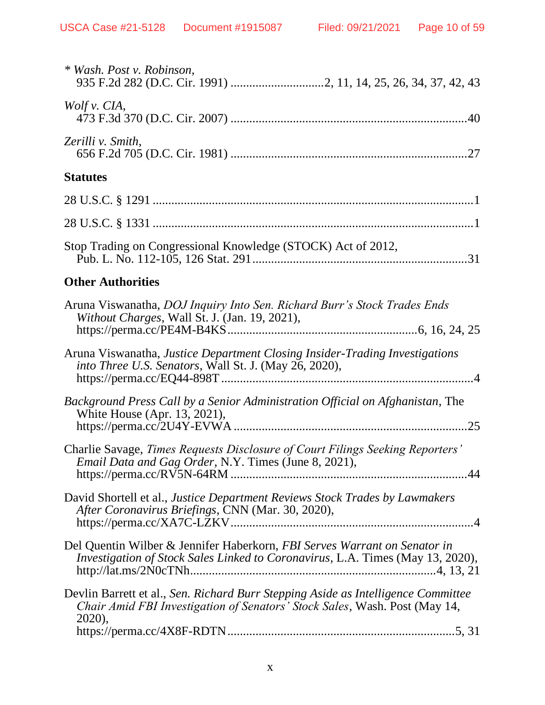| * Wash. Post v. Robinson,                                                                                                                                                 |
|---------------------------------------------------------------------------------------------------------------------------------------------------------------------------|
| Wolf v. $CIA$ ,                                                                                                                                                           |
| Zerilli v. Smith,                                                                                                                                                         |
| <b>Statutes</b>                                                                                                                                                           |
|                                                                                                                                                                           |
|                                                                                                                                                                           |
| Stop Trading on Congressional Knowledge (STOCK) Act of 2012,                                                                                                              |
| <b>Other Authorities</b>                                                                                                                                                  |
| Aruna Viswanatha, DOJ Inquiry Into Sen. Richard Burr's Stock Trades Ends<br>Without Charges, Wall St. J. (Jan. 19, 2021),                                                 |
| Aruna Viswanatha, Justice Department Closing Insider-Trading Investigations<br>into Three U.S. Senators, Wall St. J. (May 26, 2020),                                      |
| Background Press Call by a Senior Administration Official on Afghanistan, The<br>White House (Apr. 13, 2021),                                                             |
| Charlie Savage, Times Requests Disclosure of Court Filings Seeking Reporters'<br><i>Email Data and Gag Order, N.Y. Times (June 8, 2021),</i>                              |
| David Shortell et al., Justice Department Reviews Stock Trades by Lawmakers<br>After Coronavirus Briefings, CNN (Mar. 30, 2020),                                          |
| Del Quentin Wilber & Jennifer Haberkorn, FBI Serves Warrant on Senator in<br>Investigation of Stock Sales Linked to Coronavirus, L.A. Times (May 13, 2020),               |
| Devlin Barrett et al., Sen. Richard Burr Stepping Aside as Intelligence Committee<br>Chair Amid FBI Investigation of Senators' Stock Sales, Wash. Post (May 14,<br>2020), |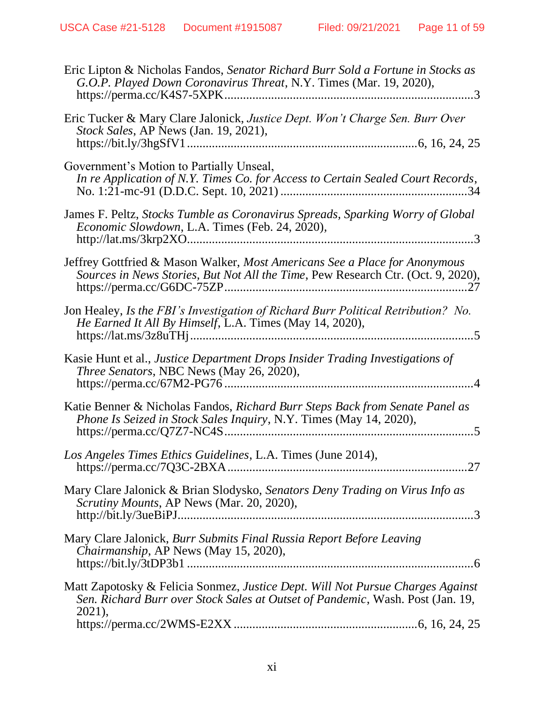| Eric Lipton & Nicholas Fandos, Senator Richard Burr Sold a Fortune in Stocks as<br>G.O.P. Played Down Coronavirus Threat, N.Y. Times (Mar. 19, 2020),                      |
|----------------------------------------------------------------------------------------------------------------------------------------------------------------------------|
| Eric Tucker & Mary Clare Jalonick, Justice Dept. Won't Charge Sen. Burr Over<br>Stock Sales, AP News (Jan. 19, 2021),                                                      |
| Government's Motion to Partially Unseal,<br>In re Application of N.Y. Times Co. for Access to Certain Sealed Court Records,                                                |
| James F. Peltz, Stocks Tumble as Coronavirus Spreads, Sparking Worry of Global<br>Economic Slowdown, L.A. Times (Feb. 24, 2020),                                           |
| Jeffrey Gottfried & Mason Walker, Most Americans See a Place for Anonymous<br>Sources in News Stories, But Not All the Time, Pew Research Ctr. (Oct. 9, 2020),             |
| Jon Healey, Is the FBI's Investigation of Richard Burr Political Retribution? No.<br>He Earned It All By Himself, L.A. Times (May 14, 2020),                               |
| Kasie Hunt et al., Justice Department Drops Insider Trading Investigations of<br>Three Senators, NBC News (May 26, 2020),                                                  |
| Katie Benner & Nicholas Fandos, Richard Burr Steps Back from Senate Panel as<br>Phone Is Seized in Stock Sales Inquiry, N.Y. Times (May 14, 2020),                         |
| Los Angeles Times Ethics Guidelines, L.A. Times (June 2014),<br>27                                                                                                         |
| Mary Clare Jalonick & Brian Slodysko, Senators Deny Trading on Virus Info as<br>Scrutiny Mounts, AP News (Mar. 20, 2020),                                                  |
| Mary Clare Jalonick, Burr Submits Final Russia Report Before Leaving<br><i>Chairmanship</i> , AP News (May 15, 2020),                                                      |
| Matt Zapotosky & Felicia Sonmez, Justice Dept. Will Not Pursue Charges Against<br>Sen. Richard Burr over Stock Sales at Outset of Pandemic, Wash. Post (Jan. 19,<br>2021), |
|                                                                                                                                                                            |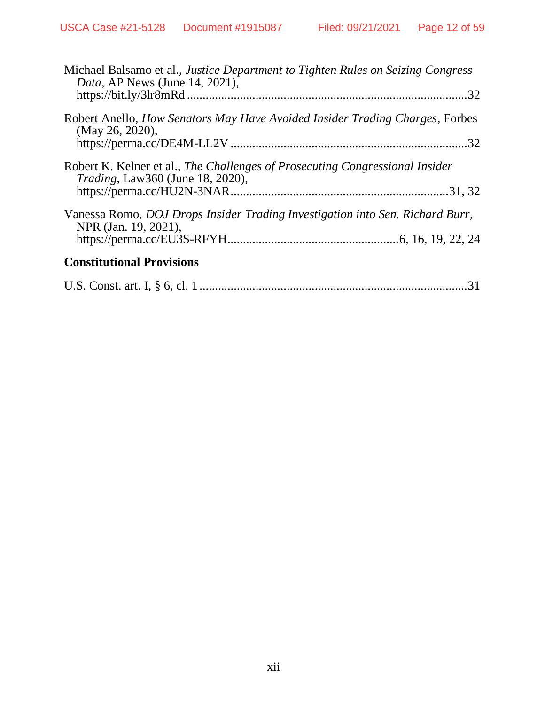| Michael Balsamo et al., Justice Department to Tighten Rules on Seizing Congress<br><i>Data</i> , AP News (June 14, 2021),<br>.32 |
|----------------------------------------------------------------------------------------------------------------------------------|
| Robert Anello, <i>How Senators May Have Avoided Insider Trading Charges</i> , Forbes<br>(May 26, 2020),                          |
| Robert K. Kelner et al., The Challenges of Prosecuting Congressional Insider<br><i>Trading</i> , Law360 (June 18, 2020),         |
| Vanessa Romo, <i>DOJ Drops Insider Trading Investigation into Sen. Richard Burr</i> ,<br>NPR (Jan. 19, 2021),                    |
| <b>Constitutional Provisions</b>                                                                                                 |
| 31                                                                                                                               |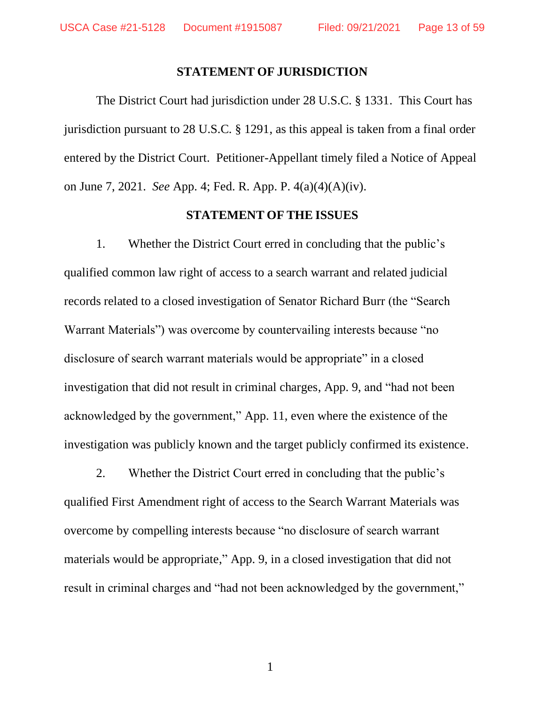#### **STATEMENT OF JURISDICTION**

The District Court had jurisdiction under 28 U.S.C. § 1331. This Court has jurisdiction pursuant to 28 U.S.C. § 1291, as this appeal is taken from a final order entered by the District Court. Petitioner-Appellant timely filed a Notice of Appeal on June 7, 2021. *See* App. 4; Fed. R. App. P. 4(a)(4)(A)(iv).

#### **STATEMENT OF THE ISSUES**

1. Whether the District Court erred in concluding that the public's qualified common law right of access to a search warrant and related judicial records related to a closed investigation of Senator Richard Burr (the "Search Warrant Materials") was overcome by countervailing interests because "no disclosure of search warrant materials would be appropriate" in a closed investigation that did not result in criminal charges, App. 9, and "had not been acknowledged by the government," App. 11, even where the existence of the investigation was publicly known and the target publicly confirmed its existence.

2. Whether the District Court erred in concluding that the public's qualified First Amendment right of access to the Search Warrant Materials was overcome by compelling interests because "no disclosure of search warrant materials would be appropriate," App. 9, in a closed investigation that did not result in criminal charges and "had not been acknowledged by the government,"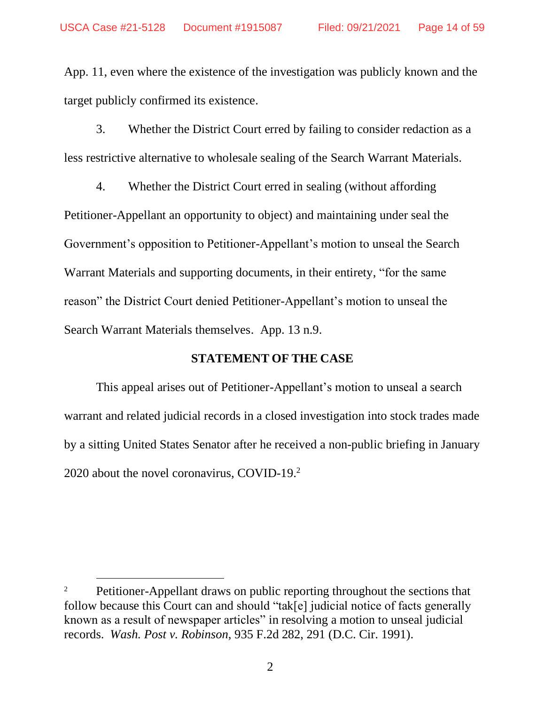App. 11, even where the existence of the investigation was publicly known and the target publicly confirmed its existence.

3. Whether the District Court erred by failing to consider redaction as a less restrictive alternative to wholesale sealing of the Search Warrant Materials.

4. Whether the District Court erred in sealing (without affording Petitioner-Appellant an opportunity to object) and maintaining under seal the Government's opposition to Petitioner-Appellant's motion to unseal the Search Warrant Materials and supporting documents, in their entirety, "for the same reason" the District Court denied Petitioner-Appellant's motion to unseal the Search Warrant Materials themselves. App. 13 n.9.

### **STATEMENT OF THE CASE**

This appeal arises out of Petitioner-Appellant's motion to unseal a search warrant and related judicial records in a closed investigation into stock trades made by a sitting United States Senator after he received a non-public briefing in January 2020 about the novel coronavirus, COVID-19.<sup>2</sup>

<sup>&</sup>lt;sup>2</sup> Petitioner-Appellant draws on public reporting throughout the sections that follow because this Court can and should "tak[e] judicial notice of facts generally known as a result of newspaper articles" in resolving a motion to unseal judicial records. *Wash. Post v. Robinson*, 935 F.2d 282, 291 (D.C. Cir. 1991).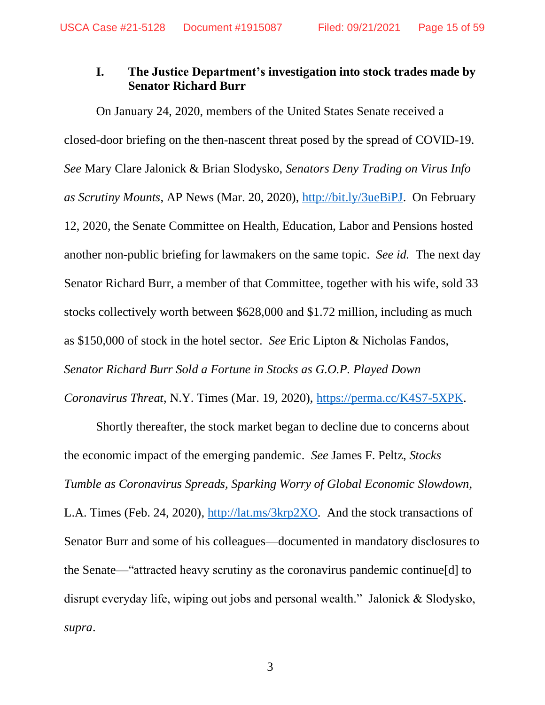### **I. The Justice Department's investigation into stock trades made by Senator Richard Burr**

On January 24, 2020, members of the United States Senate received a closed-door briefing on the then-nascent threat posed by the spread of COVID-19. *See* Mary Clare Jalonick & Brian Slodysko, *Senators Deny Trading on Virus Info as Scrutiny Mounts*, AP News (Mar. 20, 2020), http://bit.ly/3ueBiPJ. On February 12, 2020, the Senate Committee on Health, Education, Labor and Pensions hosted another non-public briefing for lawmakers on the same topic. *See id.* The next day Senator Richard Burr, a member of that Committee, together with his wife, sold 33 stocks collectively worth between \$628,000 and \$1.72 million, including as much as \$150,000 of stock in the hotel sector. *See* Eric Lipton & Nicholas Fandos, *Senator Richard Burr Sold a Fortune in Stocks as G.O.P. Played Down* 

*Coronavirus Threat*, N.Y. Times (Mar. 19, 2020), https://perma.cc/K4S7-5XPK.

Shortly thereafter, the stock market began to decline due to concerns about the economic impact of the emerging pandemic. *See* James F. Peltz, *Stocks Tumble as Coronavirus Spreads, Sparking Worry of Global Economic Slowdown*, L.A. Times (Feb. 24, 2020)*,* http://lat.ms/3krp2XO. And the stock transactions of Senator Burr and some of his colleagues—documented in mandatory disclosures to the Senate—"attracted heavy scrutiny as the coronavirus pandemic continue[d] to disrupt everyday life, wiping out jobs and personal wealth." Jalonick & Slodysko, *supra*.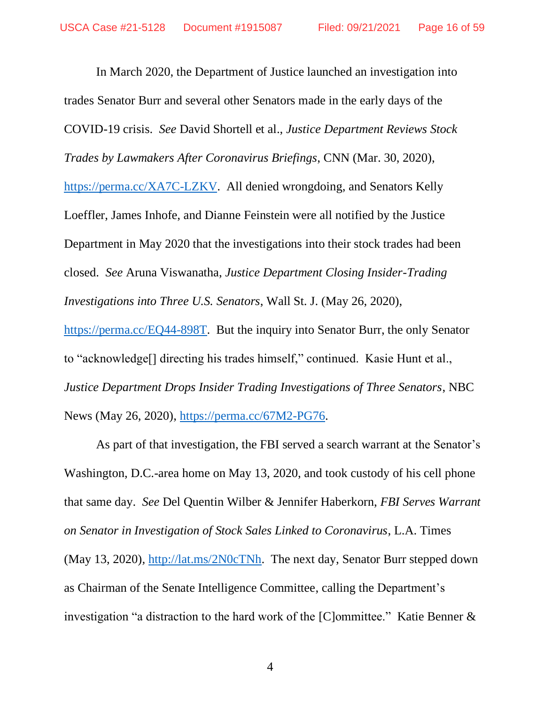In March 2020, the Department of Justice launched an investigation into trades Senator Burr and several other Senators made in the early days of the COVID-19 crisis. *See* David Shortell et al., *Justice Department Reviews Stock Trades by Lawmakers After Coronavirus Briefings*, CNN (Mar. 30, 2020), https://perma.cc/XA7C-LZKV. All denied wrongdoing, and Senators Kelly Loeffler, James Inhofe, and Dianne Feinstein were all notified by the Justice Department in May 2020 that the investigations into their stock trades had been closed. *See* Aruna Viswanatha, *Justice Department Closing Insider-Trading Investigations into Three U.S. Senators*, Wall St. J. (May 26, 2020), https://perma.cc/EQ44-898T. But the inquiry into Senator Burr, the only Senator to "acknowledge[] directing his trades himself," continued. Kasie Hunt et al.,

*Justice Department Drops Insider Trading Investigations of Three Senators*, NBC News (May 26, 2020), https://perma.cc/67M2-PG76.

As part of that investigation, the FBI served a search warrant at the Senator's Washington, D.C.-area home on May 13, 2020, and took custody of his cell phone that same day. *See* Del Quentin Wilber & Jennifer Haberkorn, *FBI Serves Warrant on Senator in Investigation of Stock Sales Linked to Coronavirus*, L.A. Times (May 13, 2020)*,* http://lat.ms/2N0cTNh. The next day, Senator Burr stepped down as Chairman of the Senate Intelligence Committee, calling the Department's investigation "a distraction to the hard work of the [C]ommittee." Katie Benner &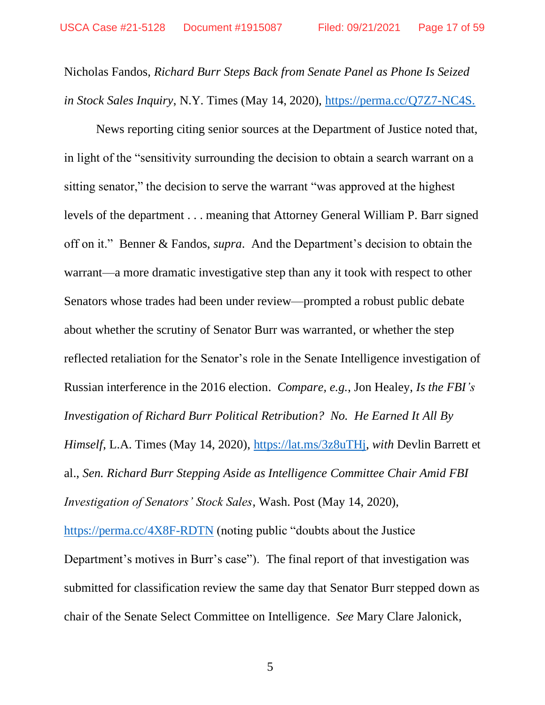Nicholas Fandos, *Richard Burr Steps Back from Senate Panel as Phone Is Seized in Stock Sales Inquiry*, N.Y. Times (May 14, 2020), https://perma.cc/Q7Z7-NC4S.

News reporting citing senior sources at the Department of Justice noted that, in light of the "sensitivity surrounding the decision to obtain a search warrant on a sitting senator," the decision to serve the warrant "was approved at the highest levels of the department . . . meaning that Attorney General William P. Barr signed off on it." Benner & Fandos, *supra*. And the Department's decision to obtain the warrant—a more dramatic investigative step than any it took with respect to other Senators whose trades had been under review—prompted a robust public debate about whether the scrutiny of Senator Burr was warranted, or whether the step reflected retaliation for the Senator's role in the Senate Intelligence investigation of Russian interference in the 2016 election. *Compare, e.g.*, Jon Healey, *Is the FBI's Investigation of Richard Burr Political Retribution? No. He Earned It All By Himself*, L.A. Times (May 14, 2020), https://lat.ms/3z8uTHj, *with* Devlin Barrett et al., *Sen. Richard Burr Stepping Aside as Intelligence Committee Chair Amid FBI Investigation of Senators' Stock Sales*, Wash. Post (May 14, 2020), https://perma.cc/4X8F-RDTN (noting public "doubts about the Justice

Department's motives in Burr's case"). The final report of that investigation was submitted for classification review the same day that Senator Burr stepped down as chair of the Senate Select Committee on Intelligence. *See* Mary Clare Jalonick,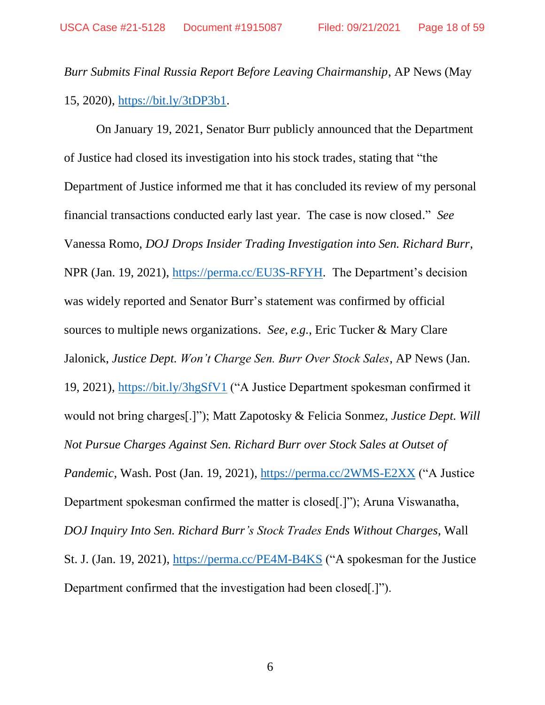*Burr Submits Final Russia Report Before Leaving Chairmanship*, AP News (May 15, 2020), https://bit.ly/3tDP3b1.

On January 19, 2021, Senator Burr publicly announced that the Department of Justice had closed its investigation into his stock trades, stating that "the Department of Justice informed me that it has concluded its review of my personal financial transactions conducted early last year. The case is now closed." *See*  Vanessa Romo, *DOJ Drops Insider Trading Investigation into Sen. Richard Burr*, NPR (Jan. 19, 2021), https://perma.cc/EU3S-RFYH. The Department's decision was widely reported and Senator Burr's statement was confirmed by official sources to multiple news organizations. *See, e.g.*, Eric Tucker & Mary Clare Jalonick, *Justice Dept. Won't Charge Sen. Burr Over Stock Sales*, AP News (Jan. 19, 2021), https://bit.ly/3hgSfV1 ("A Justice Department spokesman confirmed it would not bring charges[.]"); Matt Zapotosky & Felicia Sonmez, *Justice Dept. Will Not Pursue Charges Against Sen. Richard Burr over Stock Sales at Outset of Pandemic*, Wash. Post (Jan. 19, 2021), https://perma.cc/2WMS-E2XX ("A Justice Department spokesman confirmed the matter is closed[.]"); Aruna Viswanatha, *DOJ Inquiry Into Sen. Richard Burr's Stock Trades Ends Without Charges*, Wall St. J. (Jan. 19, 2021), https://perma.cc/PE4M-B4KS ("A spokesman for the Justice Department confirmed that the investigation had been closed[.]").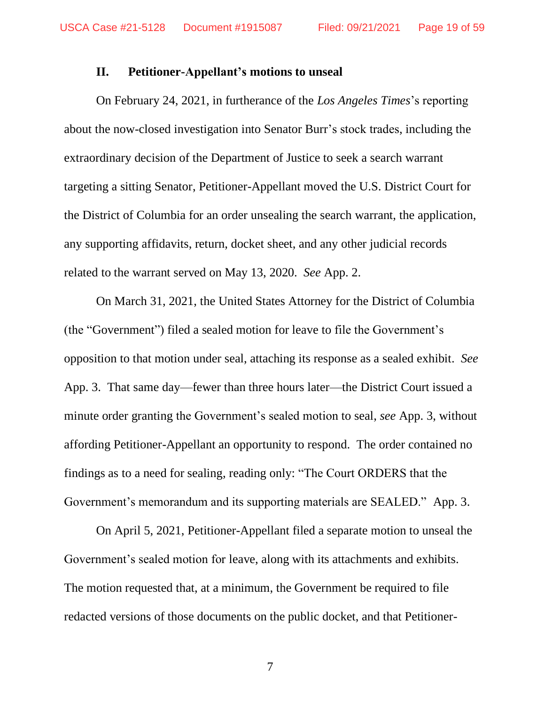### **II. Petitioner-Appellant's motions to unseal**

On February 24, 2021, in furtherance of the *Los Angeles Times*'s reporting about the now-closed investigation into Senator Burr's stock trades, including the extraordinary decision of the Department of Justice to seek a search warrant targeting a sitting Senator, Petitioner-Appellant moved the U.S. District Court for the District of Columbia for an order unsealing the search warrant, the application, any supporting affidavits, return, docket sheet, and any other judicial records related to the warrant served on May 13, 2020. *See* App. 2.

On March 31, 2021, the United States Attorney for the District of Columbia (the "Government") filed a sealed motion for leave to file the Government's opposition to that motion under seal, attaching its response as a sealed exhibit. *See*  App. 3. That same day—fewer than three hours later—the District Court issued a minute order granting the Government's sealed motion to seal, *see* App. 3, without affording Petitioner-Appellant an opportunity to respond. The order contained no findings as to a need for sealing, reading only: "The Court ORDERS that the Government's memorandum and its supporting materials are SEALED." App. 3.

On April 5, 2021, Petitioner-Appellant filed a separate motion to unseal the Government's sealed motion for leave, along with its attachments and exhibits. The motion requested that, at a minimum, the Government be required to file redacted versions of those documents on the public docket, and that Petitioner-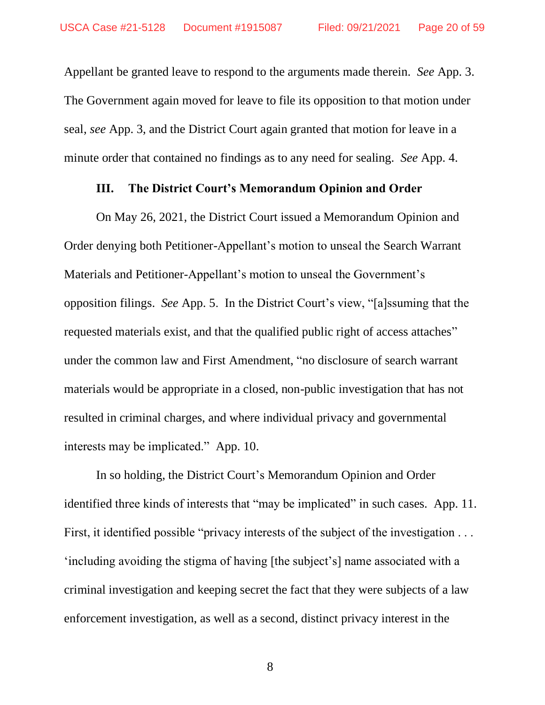Appellant be granted leave to respond to the arguments made therein. *See* App. 3. The Government again moved for leave to file its opposition to that motion under seal, *see* App. 3, and the District Court again granted that motion for leave in a minute order that contained no findings as to any need for sealing. *See* App. 4.

### **III. The District Court's Memorandum Opinion and Order**

On May 26, 2021, the District Court issued a Memorandum Opinion and Order denying both Petitioner-Appellant's motion to unseal the Search Warrant Materials and Petitioner-Appellant's motion to unseal the Government's opposition filings. *See* App. 5. In the District Court's view, "[a]ssuming that the requested materials exist, and that the qualified public right of access attaches" under the common law and First Amendment, "no disclosure of search warrant materials would be appropriate in a closed, non-public investigation that has not resulted in criminal charges, and where individual privacy and governmental interests may be implicated." App. 10.

In so holding, the District Court's Memorandum Opinion and Order identified three kinds of interests that "may be implicated" in such cases. App. 11. First, it identified possible "privacy interests of the subject of the investigation . . . 'including avoiding the stigma of having [the subject's] name associated with a criminal investigation and keeping secret the fact that they were subjects of a law enforcement investigation, as well as a second, distinct privacy interest in the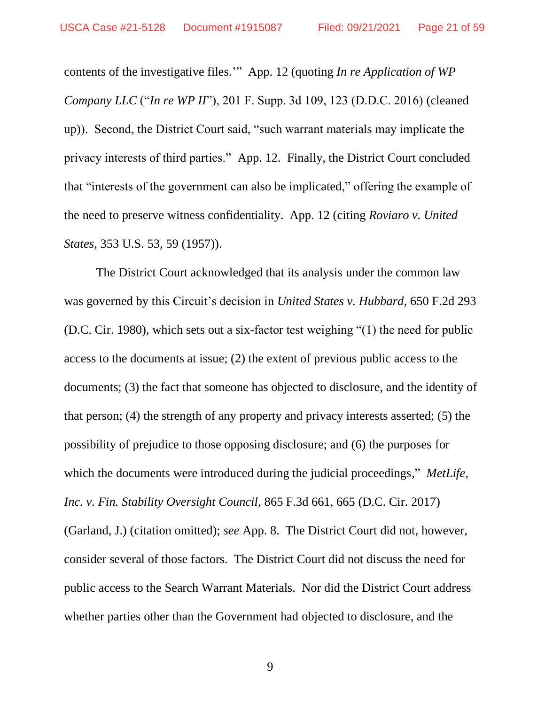contents of the investigative files.'" App. 12 (quoting *In re Application of WP Company LLC* ("*In re WP II*"), 201 F. Supp. 3d 109, 123 (D.D.C. 2016) (cleaned up)). Second, the District Court said, "such warrant materials may implicate the privacy interests of third parties." App. 12. Finally, the District Court concluded that "interests of the government can also be implicated," offering the example of the need to preserve witness confidentiality. App. 12 (citing *Roviaro v. United States*, 353 U.S. 53, 59 (1957)).

The District Court acknowledged that its analysis under the common law was governed by this Circuit's decision in *United States v. Hubbard*, 650 F.2d 293 (D.C. Cir. 1980), which sets out a six-factor test weighing "(1) the need for public access to the documents at issue; (2) the extent of previous public access to the documents; (3) the fact that someone has objected to disclosure, and the identity of that person; (4) the strength of any property and privacy interests asserted; (5) the possibility of prejudice to those opposing disclosure; and (6) the purposes for which the documents were introduced during the judicial proceedings," *MetLife*, *Inc. v. Fin. Stability Oversight Council*, 865 F.3d 661, 665 (D.C. Cir. 2017) (Garland, J.) (citation omitted); *see* App. 8. The District Court did not, however, consider several of those factors. The District Court did not discuss the need for public access to the Search Warrant Materials. Nor did the District Court address whether parties other than the Government had objected to disclosure, and the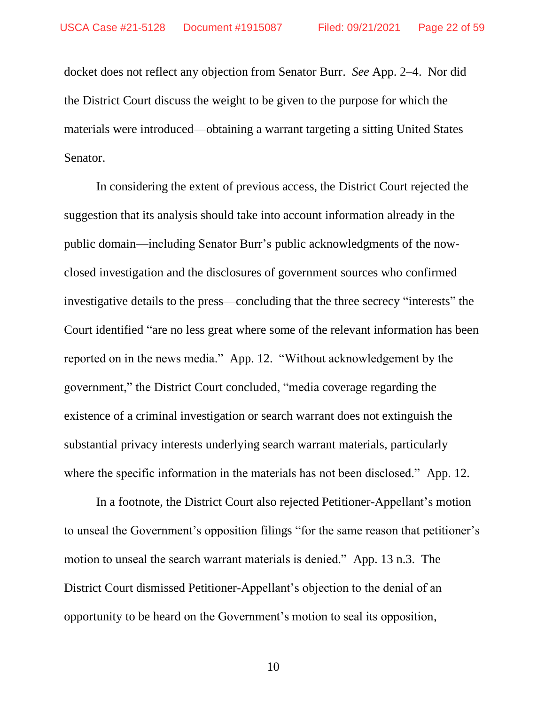docket does not reflect any objection from Senator Burr. *See* App. 2–4. Nor did the District Court discuss the weight to be given to the purpose for which the materials were introduced—obtaining a warrant targeting a sitting United States Senator.

In considering the extent of previous access, the District Court rejected the suggestion that its analysis should take into account information already in the public domain—including Senator Burr's public acknowledgments of the nowclosed investigation and the disclosures of government sources who confirmed investigative details to the press—concluding that the three secrecy "interests" the Court identified "are no less great where some of the relevant information has been reported on in the news media." App. 12. "Without acknowledgement by the government," the District Court concluded, "media coverage regarding the existence of a criminal investigation or search warrant does not extinguish the substantial privacy interests underlying search warrant materials, particularly where the specific information in the materials has not been disclosed." App. 12.

In a footnote, the District Court also rejected Petitioner-Appellant's motion to unseal the Government's opposition filings "for the same reason that petitioner's motion to unseal the search warrant materials is denied." App. 13 n.3. The District Court dismissed Petitioner-Appellant's objection to the denial of an opportunity to be heard on the Government's motion to seal its opposition,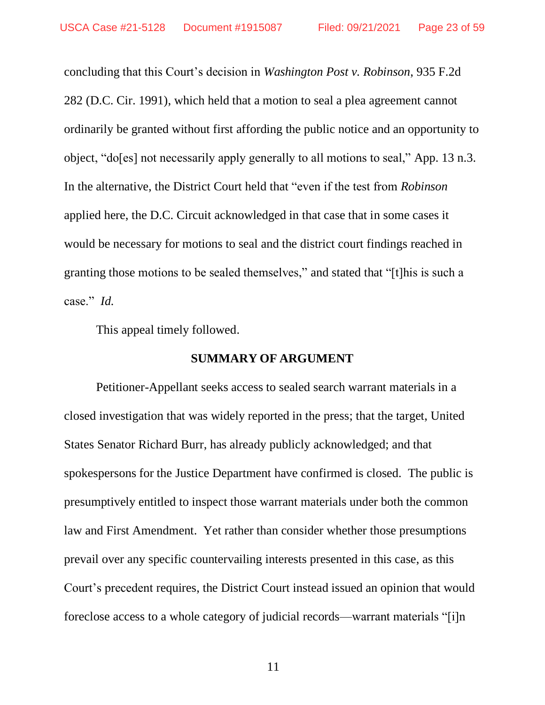concluding that this Court's decision in *Washington Post v. Robinson*, 935 F.2d 282 (D.C. Cir. 1991), which held that a motion to seal a plea agreement cannot ordinarily be granted without first affording the public notice and an opportunity to object, "do[es] not necessarily apply generally to all motions to seal," App. 13 n.3. In the alternative, the District Court held that "even if the test from *Robinson*  applied here, the D.C. Circuit acknowledged in that case that in some cases it would be necessary for motions to seal and the district court findings reached in granting those motions to be sealed themselves," and stated that "[t]his is such a case." *Id.* 

This appeal timely followed.

### **SUMMARY OF ARGUMENT**

Petitioner-Appellant seeks access to sealed search warrant materials in a closed investigation that was widely reported in the press; that the target, United States Senator Richard Burr, has already publicly acknowledged; and that spokespersons for the Justice Department have confirmed is closed. The public is presumptively entitled to inspect those warrant materials under both the common law and First Amendment. Yet rather than consider whether those presumptions prevail over any specific countervailing interests presented in this case, as this Court's precedent requires, the District Court instead issued an opinion that would foreclose access to a whole category of judicial records—warrant materials "[i]n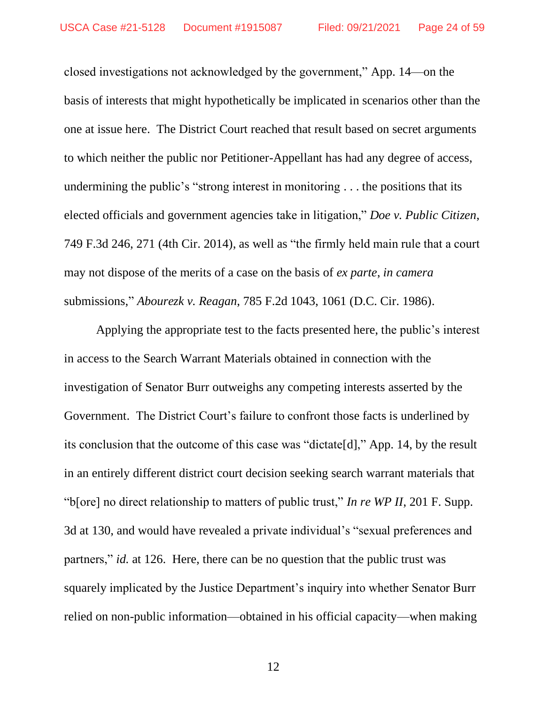closed investigations not acknowledged by the government," App. 14—on the basis of interests that might hypothetically be implicated in scenarios other than the one at issue here. The District Court reached that result based on secret arguments to which neither the public nor Petitioner-Appellant has had any degree of access, undermining the public's "strong interest in monitoring . . . the positions that its elected officials and government agencies take in litigation," *Doe v. Public Citizen*, 749 F.3d 246, 271 (4th Cir. 2014), as well as "the firmly held main rule that a court may not dispose of the merits of a case on the basis of *ex parte*, *in camera*  submissions," *Abourezk v. Reagan*, 785 F.2d 1043, 1061 (D.C. Cir. 1986).

Applying the appropriate test to the facts presented here, the public's interest in access to the Search Warrant Materials obtained in connection with the investigation of Senator Burr outweighs any competing interests asserted by the Government. The District Court's failure to confront those facts is underlined by its conclusion that the outcome of this case was "dictate[d]," App. 14, by the result in an entirely different district court decision seeking search warrant materials that "b[ore] no direct relationship to matters of public trust," *In re WP II*, 201 F. Supp. 3d at 130, and would have revealed a private individual's "sexual preferences and partners," *id.* at 126. Here, there can be no question that the public trust was squarely implicated by the Justice Department's inquiry into whether Senator Burr relied on non-public information—obtained in his official capacity—when making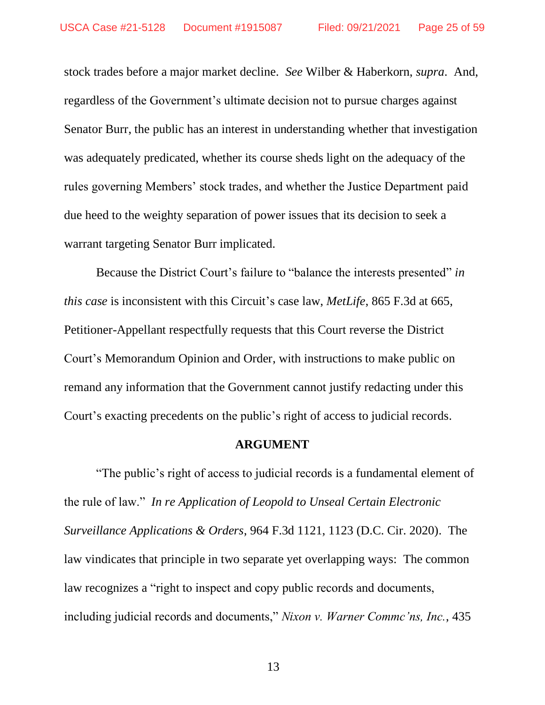stock trades before a major market decline. *See* Wilber & Haberkorn, *supra*. And, regardless of the Government's ultimate decision not to pursue charges against Senator Burr, the public has an interest in understanding whether that investigation was adequately predicated, whether its course sheds light on the adequacy of the rules governing Members' stock trades, and whether the Justice Department paid due heed to the weighty separation of power issues that its decision to seek a warrant targeting Senator Burr implicated.

Because the District Court's failure to "balance the interests presented" *in this case* is inconsistent with this Circuit's case law, *MetLife*, 865 F.3d at 665, Petitioner-Appellant respectfully requests that this Court reverse the District Court's Memorandum Opinion and Order, with instructions to make public on remand any information that the Government cannot justify redacting under this Court's exacting precedents on the public's right of access to judicial records.

#### **ARGUMENT**

"The public's right of access to judicial records is a fundamental element of the rule of law." *In re Application of Leopold to Unseal Certain Electronic Surveillance Applications & Orders*, 964 F.3d 1121, 1123 (D.C. Cir. 2020). The law vindicates that principle in two separate yet overlapping ways: The common law recognizes a "right to inspect and copy public records and documents, including judicial records and documents," *Nixon v. Warner Commc'ns, Inc.*, 435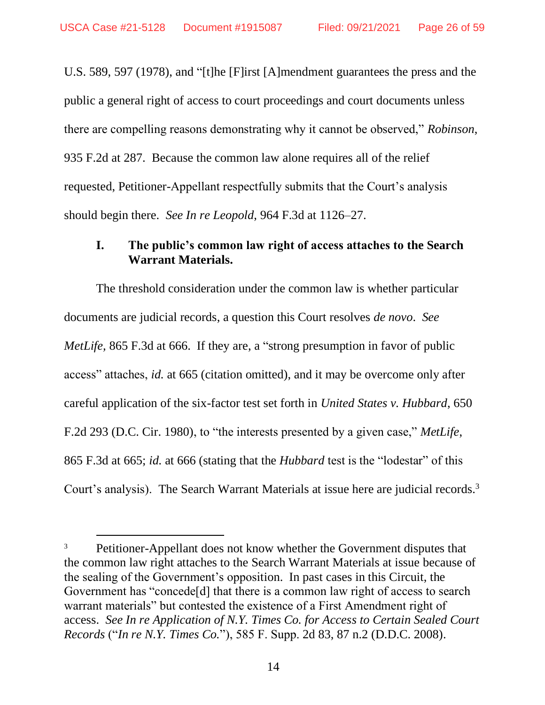U.S. 589, 597 (1978), and "[t]he [F]irst [A]mendment guarantees the press and the public a general right of access to court proceedings and court documents unless there are compelling reasons demonstrating why it cannot be observed," *Robinson*, 935 F.2d at 287. Because the common law alone requires all of the relief requested, Petitioner-Appellant respectfully submits that the Court's analysis should begin there. *See In re Leopold*, 964 F.3d at 1126–27.

### **I. The public's common law right of access attaches to the Search Warrant Materials.**

The threshold consideration under the common law is whether particular documents are judicial records, a question this Court resolves *de novo*. *See MetLife*, 865 F.3d at 666. If they are, a "strong presumption in favor of public access" attaches, *id.* at 665 (citation omitted), and it may be overcome only after careful application of the six-factor test set forth in *United States v. Hubbard*, 650 F.2d 293 (D.C. Cir. 1980), to "the interests presented by a given case," *MetLife*, 865 F.3d at 665; *id.* at 666 (stating that the *Hubbard* test is the "lodestar" of this Court's analysis). The Search Warrant Materials at issue here are judicial records.<sup>3</sup>

<sup>&</sup>lt;sup>3</sup> Petitioner-Appellant does not know whether the Government disputes that the common law right attaches to the Search Warrant Materials at issue because of the sealing of the Government's opposition. In past cases in this Circuit, the Government has "concede[d] that there is a common law right of access to search warrant materials" but contested the existence of a First Amendment right of access. *See In re Application of N.Y. Times Co. for Access to Certain Sealed Court Records* ("*In re N.Y. Times Co.*"), 585 F. Supp. 2d 83, 87 n.2 (D.D.C. 2008).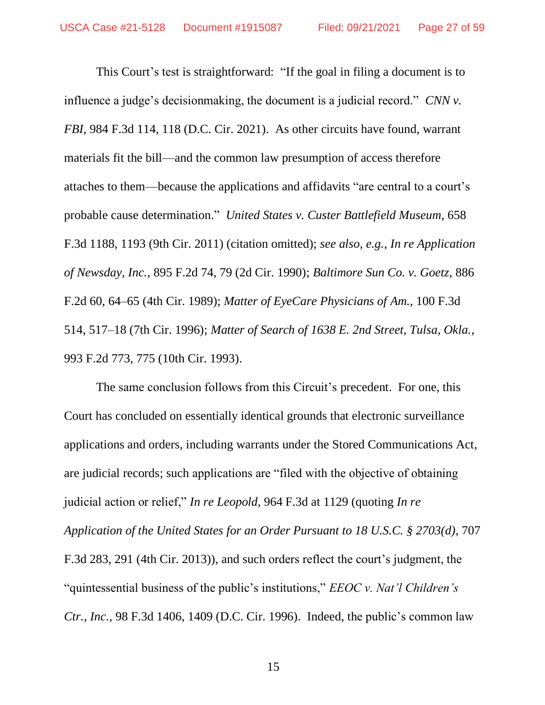This Court's test is straightforward: "If the goal in filing a document is to influence a judge's decisionmaking, the document is a judicial record." *CNN v. FBI*, 984 F.3d 114, 118 (D.C. Cir. 2021).As other circuits have found, warrant materials fit the bill—and the common law presumption of access therefore attaches to them—because the applications and affidavits "are central to a court's probable cause determination." *United States v. Custer Battlefield Museum*, 658 F.3d 1188, 1193 (9th Cir. 2011) (citation omitted); *see also, e.g.*, *In re Application of Newsday, Inc.*, 895 F.2d 74, 79 (2d Cir. 1990); *Baltimore Sun Co. v. Goetz*, 886 F.2d 60, 64–65 (4th Cir. 1989); *Matter of EyeCare Physicians of Am.*, 100 F.3d 514, 517–18 (7th Cir. 1996); *Matter of Search of 1638 E. 2nd Street, Tulsa, Okla.*, 993 F.2d 773, 775 (10th Cir. 1993).

The same conclusion follows from this Circuit's precedent. For one, this Court has concluded on essentially identical grounds that electronic surveillance applications and orders, including warrants under the Stored Communications Act, are judicial records; such applications are "filed with the objective of obtaining judicial action or relief," *In re Leopold*, 964 F.3d at 1129 (quoting *In re Application of the United States for an Order Pursuant to 18 U.S.C. § 2703(d)*, 707 F.3d 283, 291 (4th Cir. 2013)), and such orders reflect the court's judgment, the "quintessential business of the public's institutions," *EEOC v. Nat'l Children's Ctr., Inc.*, 98 F.3d 1406, 1409 (D.C. Cir. 1996). Indeed, the public's common law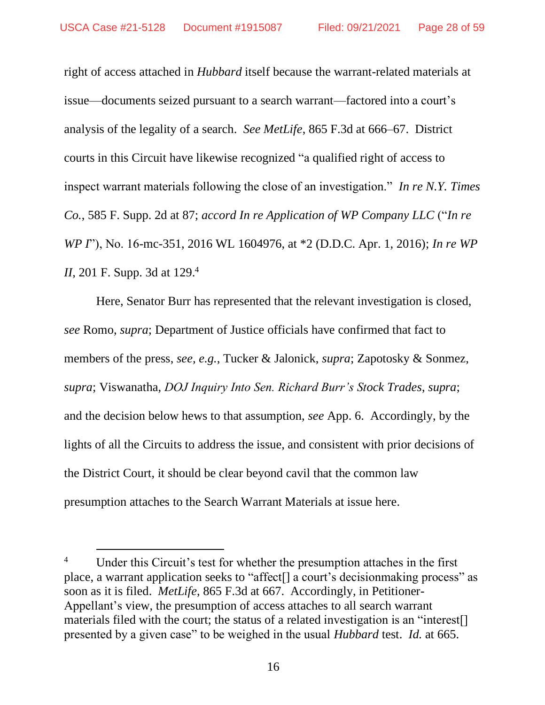right of access attached in *Hubbard* itself because the warrant-related materials at issue—documents seized pursuant to a search warrant—factored into a court's analysis of the legality of a search. *See MetLife*, 865 F.3d at 666–67. District courts in this Circuit have likewise recognized "a qualified right of access to inspect warrant materials following the close of an investigation." *In re N.Y. Times Co.*, 585 F. Supp. 2d at 87; *accord In re Application of WP Company LLC* ("*In re WP I*"), No. 16-mc-351, 2016 WL 1604976, at \*2 (D.D.C. Apr. 1, 2016); *In re WP II*, 201 F. Supp. 3d at 129. 4

Here, Senator Burr has represented that the relevant investigation is closed, *see* Romo, *supra*; Department of Justice officials have confirmed that fact to members of the press, *see, e.g.*, Tucker & Jalonick, *supra*; Zapotosky & Sonmez, *supra*; Viswanatha, *DOJ Inquiry Into Sen. Richard Burr's Stock Trades*, *supra*; and the decision below hews to that assumption, *see* App. 6. Accordingly, by the lights of all the Circuits to address the issue, and consistent with prior decisions of the District Court, it should be clear beyond cavil that the common law presumption attaches to the Search Warrant Materials at issue here.

<sup>&</sup>lt;sup>4</sup> Under this Circuit's test for whether the presumption attaches in the first place, a warrant application seeks to "affect[] a court's decisionmaking process" as soon as it is filed. *MetLife*, 865 F.3d at 667. Accordingly, in Petitioner-Appellant's view, the presumption of access attaches to all search warrant materials filed with the court; the status of a related investigation is an "interest[] presented by a given case" to be weighed in the usual *Hubbard* test. *Id.* at 665.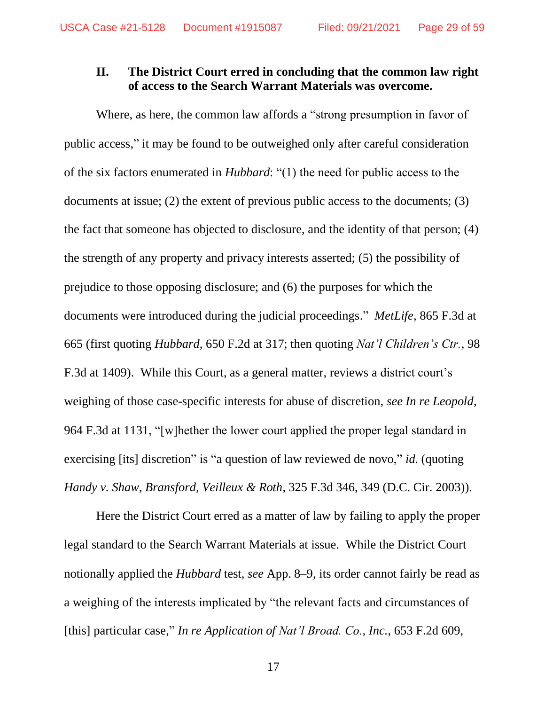### **II. The District Court erred in concluding that the common law right of access to the Search Warrant Materials was overcome.**

Where, as here, the common law affords a "strong presumption in favor of public access," it may be found to be outweighed only after careful consideration of the six factors enumerated in *Hubbard*: "(1) the need for public access to the documents at issue; (2) the extent of previous public access to the documents; (3) the fact that someone has objected to disclosure, and the identity of that person; (4) the strength of any property and privacy interests asserted; (5) the possibility of prejudice to those opposing disclosure; and (6) the purposes for which the documents were introduced during the judicial proceedings." *MetLife*, 865 F.3d at 665 (first quoting *Hubbard*, 650 F.2d at 317; then quoting *Nat'l Children's Ctr.*, 98 F.3d at 1409). While this Court, as a general matter, reviews a district court's weighing of those case-specific interests for abuse of discretion, *see In re Leopold*, 964 F.3d at 1131, "[w]hether the lower court applied the proper legal standard in exercising [its] discretion" is "a question of law reviewed de novo," *id.* (quoting *Handy v. Shaw, Bransford, Veilleux & Roth*, 325 F.3d 346, 349 (D.C. Cir. 2003)).

Here the District Court erred as a matter of law by failing to apply the proper legal standard to the Search Warrant Materials at issue. While the District Court notionally applied the *Hubbard* test, *see* App. 8–9, its order cannot fairly be read as a weighing of the interests implicated by "the relevant facts and circumstances of [this] particular case," *In re Application of Nat'l Broad. Co., Inc.*, 653 F.2d 609,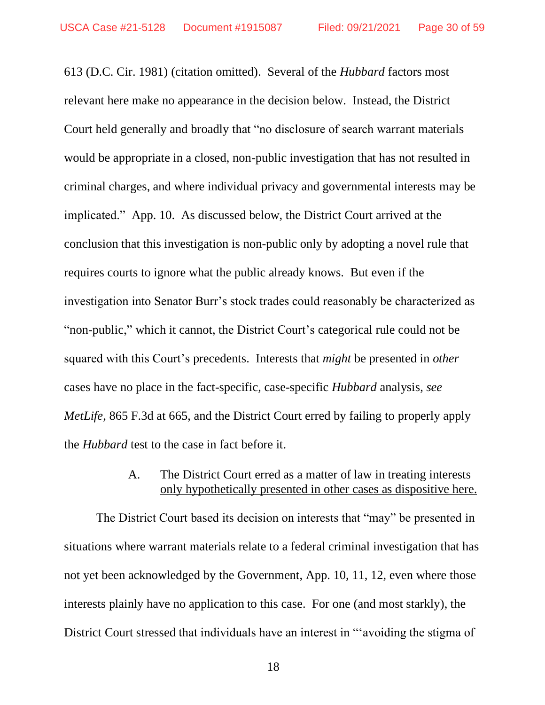613 (D.C. Cir. 1981) (citation omitted). Several of the *Hubbard* factors most relevant here make no appearance in the decision below. Instead, the District Court held generally and broadly that "no disclosure of search warrant materials would be appropriate in a closed, non-public investigation that has not resulted in criminal charges, and where individual privacy and governmental interests may be implicated." App. 10. As discussed below, the District Court arrived at the conclusion that this investigation is non-public only by adopting a novel rule that requires courts to ignore what the public already knows. But even if the investigation into Senator Burr's stock trades could reasonably be characterized as "non-public," which it cannot, the District Court's categorical rule could not be squared with this Court's precedents. Interests that *might* be presented in *other*  cases have no place in the fact-specific, case-specific *Hubbard* analysis, *see MetLife*, 865 F.3d at 665, and the District Court erred by failing to properly apply the *Hubbard* test to the case in fact before it.

## A. The District Court erred as a matter of law in treating interests only hypothetically presented in other cases as dispositive here.

The District Court based its decision on interests that "may" be presented in situations where warrant materials relate to a federal criminal investigation that has not yet been acknowledged by the Government, App. 10, 11, 12, even where those interests plainly have no application to this case. For one (and most starkly), the District Court stressed that individuals have an interest in "'avoiding the stigma of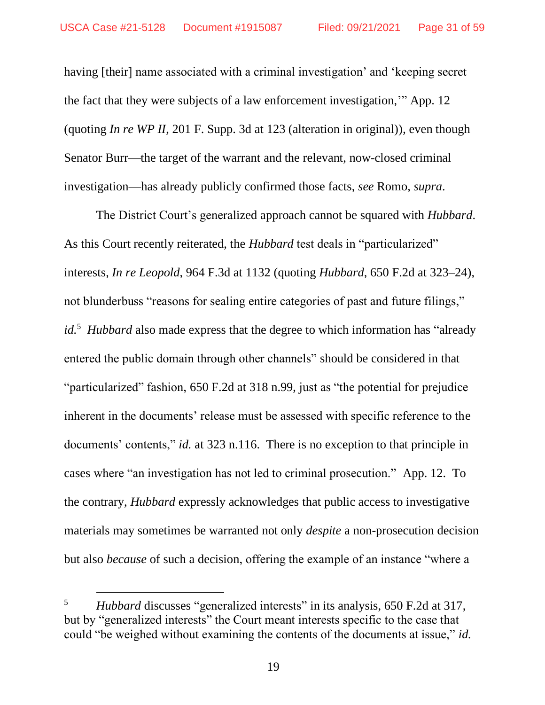having [their] name associated with a criminal investigation' and 'keeping secret the fact that they were subjects of a law enforcement investigation,'" App. 12 (quoting *In re WP II*, 201 F. Supp. 3d at 123 (alteration in original)), even though Senator Burr—the target of the warrant and the relevant, now-closed criminal investigation—has already publicly confirmed those facts, *see* Romo, *supra*.

The District Court's generalized approach cannot be squared with *Hubbard*. As this Court recently reiterated, the *Hubbard* test deals in "particularized" interests, *In re Leopold*, 964 F.3d at 1132 (quoting *Hubbard*, 650 F.2d at 323–24), not blunderbuss "reasons for sealing entire categories of past and future filings," *id.*<sup>5</sup> *Hubbard* also made express that the degree to which information has "already entered the public domain through other channels" should be considered in that "particularized" fashion, 650 F.2d at 318 n.99, just as "the potential for prejudice inherent in the documents' release must be assessed with specific reference to the documents' contents," *id.* at 323 n.116. There is no exception to that principle in cases where "an investigation has not led to criminal prosecution." App. 12. To the contrary, *Hubbard* expressly acknowledges that public access to investigative materials may sometimes be warranted not only *despite* a non-prosecution decision but also *because* of such a decision, offering the example of an instance "where a

<sup>5</sup> *Hubbard* discusses "generalized interests" in its analysis, 650 F.2d at 317, but by "generalized interests" the Court meant interests specific to the case that could "be weighed without examining the contents of the documents at issue," *id.*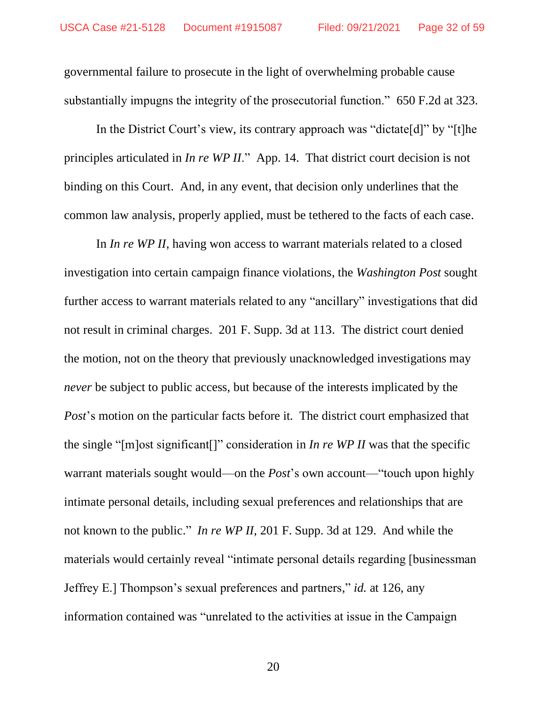governmental failure to prosecute in the light of overwhelming probable cause substantially impugns the integrity of the prosecutorial function." 650 F.2d at 323.

In the District Court's view, its contrary approach was "dictate[d]" by "[t]he principles articulated in *In re WP II*." App. 14. That district court decision is not binding on this Court. And, in any event, that decision only underlines that the common law analysis, properly applied, must be tethered to the facts of each case.

In *In re WP II*, having won access to warrant materials related to a closed investigation into certain campaign finance violations, the *Washington Post* sought further access to warrant materials related to any "ancillary" investigations that did not result in criminal charges. 201 F. Supp. 3d at 113. The district court denied the motion, not on the theory that previously unacknowledged investigations may *never* be subject to public access, but because of the interests implicated by the *Post*'s motion on the particular facts before it. The district court emphasized that the single "[m]ost significant[]" consideration in *In re WP II* was that the specific warrant materials sought would—on the *Post*'s own account—"touch upon highly intimate personal details, including sexual preferences and relationships that are not known to the public." *In re WP II*, 201 F. Supp. 3d at 129. And while the materials would certainly reveal "intimate personal details regarding [businessman Jeffrey E.] Thompson's sexual preferences and partners," *id.* at 126, any information contained was "unrelated to the activities at issue in the Campaign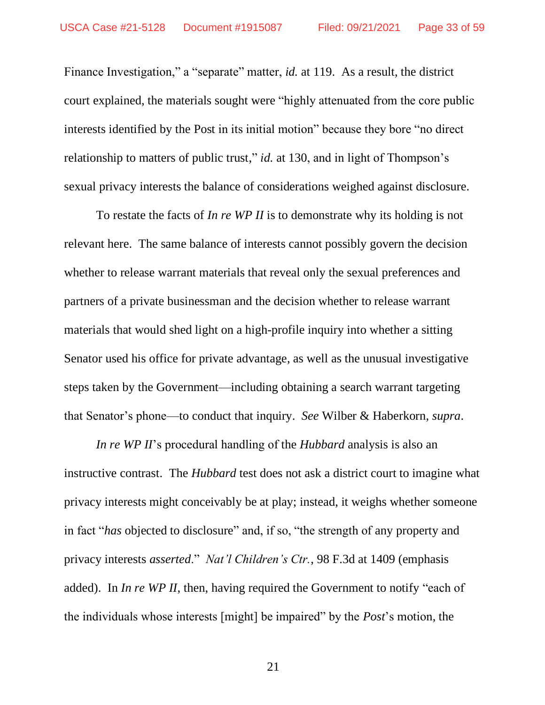Finance Investigation," a "separate" matter, *id.* at 119. As a result, the district court explained, the materials sought were "highly attenuated from the core public interests identified by the Post in its initial motion" because they bore "no direct relationship to matters of public trust," *id.* at 130, and in light of Thompson's sexual privacy interests the balance of considerations weighed against disclosure.

To restate the facts of *In re WP II* is to demonstrate why its holding is not relevant here. The same balance of interests cannot possibly govern the decision whether to release warrant materials that reveal only the sexual preferences and partners of a private businessman and the decision whether to release warrant materials that would shed light on a high-profile inquiry into whether a sitting Senator used his office for private advantage, as well as the unusual investigative steps taken by the Government—including obtaining a search warrant targeting that Senator's phone—to conduct that inquiry. *See* Wilber & Haberkorn, *supra*.

*In re WP II*'s procedural handling of the *Hubbard* analysis is also an instructive contrast. The *Hubbard* test does not ask a district court to imagine what privacy interests might conceivably be at play; instead, it weighs whether someone in fact "*has* objected to disclosure" and, if so, "the strength of any property and privacy interests *asserted*." *Nat'l Children's Ctr.*, 98 F.3d at 1409 (emphasis added). In *In re WP II*, then, having required the Government to notify "each of the individuals whose interests [might] be impaired" by the *Post*'s motion, the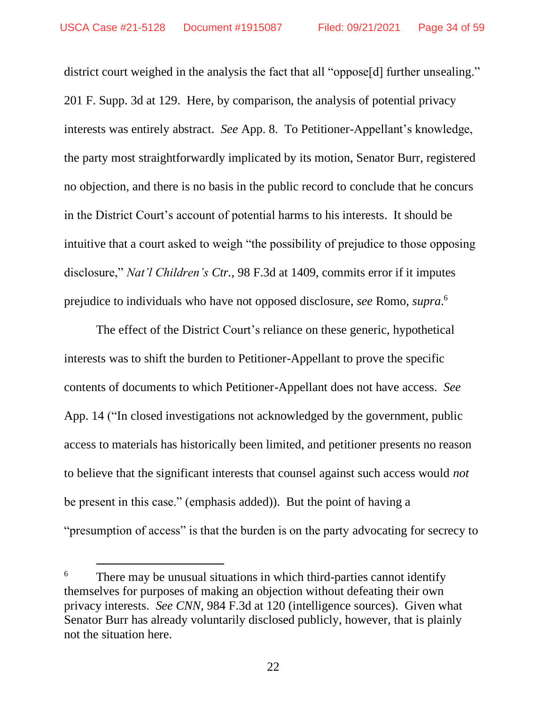district court weighed in the analysis the fact that all "oppose<sup>[d]</sup> further unsealing." 201 F. Supp. 3d at 129. Here, by comparison, the analysis of potential privacy interests was entirely abstract. *See* App. 8. To Petitioner-Appellant's knowledge, the party most straightforwardly implicated by its motion, Senator Burr, registered no objection, and there is no basis in the public record to conclude that he concurs in the District Court's account of potential harms to his interests. It should be intuitive that a court asked to weigh "the possibility of prejudice to those opposing disclosure," *Nat'l Children's Ctr.*, 98 F.3d at 1409, commits error if it imputes prejudice to individuals who have not opposed disclosure, *see* Romo, *supra*. 6

The effect of the District Court's reliance on these generic, hypothetical interests was to shift the burden to Petitioner-Appellant to prove the specific contents of documents to which Petitioner-Appellant does not have access. *See*  App. 14 ("In closed investigations not acknowledged by the government, public access to materials has historically been limited, and petitioner presents no reason to believe that the significant interests that counsel against such access would *not*  be present in this case." (emphasis added)). But the point of having a "presumption of access" is that the burden is on the party advocating for secrecy to

<sup>&</sup>lt;sup>6</sup> There may be unusual situations in which third-parties cannot identify themselves for purposes of making an objection without defeating their own privacy interests. *See CNN*, 984 F.3d at 120 (intelligence sources). Given what Senator Burr has already voluntarily disclosed publicly, however, that is plainly not the situation here.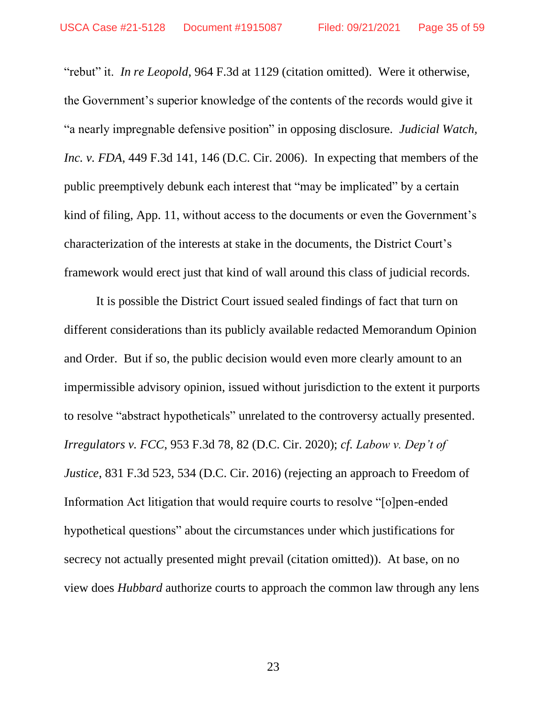"rebut" it. *In re Leopold*, 964 F.3d at 1129 (citation omitted). Were it otherwise, the Government's superior knowledge of the contents of the records would give it "a nearly impregnable defensive position" in opposing disclosure. *Judicial Watch, Inc. v. FDA*, 449 F.3d 141, 146 (D.C. Cir. 2006). In expecting that members of the public preemptively debunk each interest that "may be implicated" by a certain kind of filing, App. 11, without access to the documents or even the Government's characterization of the interests at stake in the documents, the District Court's framework would erect just that kind of wall around this class of judicial records.

It is possible the District Court issued sealed findings of fact that turn on different considerations than its publicly available redacted Memorandum Opinion and Order. But if so, the public decision would even more clearly amount to an impermissible advisory opinion, issued without jurisdiction to the extent it purports to resolve "abstract hypotheticals" unrelated to the controversy actually presented. *Irregulators v. FCC*, 953 F.3d 78, 82 (D.C. Cir. 2020); *cf. Labow v. Dep't of Justice*, 831 F.3d 523, 534 (D.C. Cir. 2016) (rejecting an approach to Freedom of Information Act litigation that would require courts to resolve "[o]pen-ended hypothetical questions" about the circumstances under which justifications for secrecy not actually presented might prevail (citation omitted)). At base, on no view does *Hubbard* authorize courts to approach the common law through any lens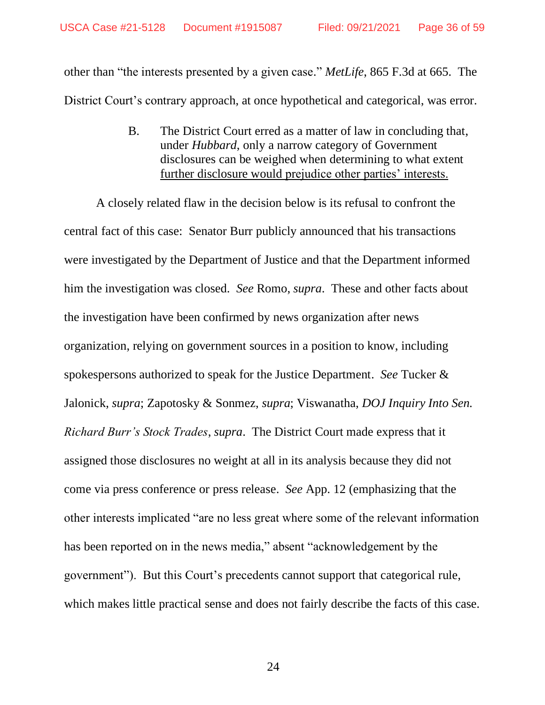other than "the interests presented by a given case." *MetLife*, 865 F.3d at 665. The District Court's contrary approach, at once hypothetical and categorical, was error.

> B. The District Court erred as a matter of law in concluding that, under *Hubbard*, only a narrow category of Government disclosures can be weighed when determining to what extent further disclosure would prejudice other parties' interests.

A closely related flaw in the decision below is its refusal to confront the central fact of this case: Senator Burr publicly announced that his transactions were investigated by the Department of Justice and that the Department informed him the investigation was closed. *See* Romo, *supra*. These and other facts about the investigation have been confirmed by news organization after news organization, relying on government sources in a position to know, including spokespersons authorized to speak for the Justice Department. *See* Tucker & Jalonick, *supra*; Zapotosky & Sonmez, *supra*; Viswanatha, *DOJ Inquiry Into Sen. Richard Burr's Stock Trades*, *supra*. The District Court made express that it assigned those disclosures no weight at all in its analysis because they did not come via press conference or press release. *See* App. 12 (emphasizing that the other interests implicated "are no less great where some of the relevant information has been reported on in the news media," absent "acknowledgement by the government"). But this Court's precedents cannot support that categorical rule, which makes little practical sense and does not fairly describe the facts of this case.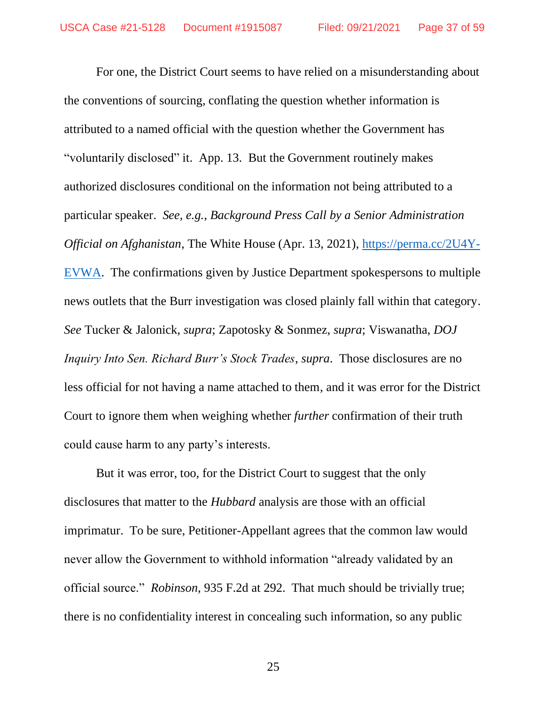For one, the District Court seems to have relied on a misunderstanding about the conventions of sourcing, conflating the question whether information is attributed to a named official with the question whether the Government has "voluntarily disclosed" it. App. 13. But the Government routinely makes authorized disclosures conditional on the information not being attributed to a particular speaker. *See, e.g.*, *Background Press Call by a Senior Administration Official on Afghanistan*, The White House (Apr. 13, 2021), https://perma.cc/2U4Y-EVWA. The confirmations given by Justice Department spokespersons to multiple news outlets that the Burr investigation was closed plainly fall within that category. *See* Tucker & Jalonick, *supra*; Zapotosky & Sonmez, *supra*; Viswanatha, *DOJ Inquiry Into Sen. Richard Burr's Stock Trades*, *supra*. Those disclosures are no less official for not having a name attached to them, and it was error for the District Court to ignore them when weighing whether *further* confirmation of their truth could cause harm to any party's interests.

But it was error, too, for the District Court to suggest that the only disclosures that matter to the *Hubbard* analysis are those with an official imprimatur. To be sure, Petitioner-Appellant agrees that the common law would never allow the Government to withhold information "already validated by an official source." *Robinson*, 935 F.2d at 292. That much should be trivially true; there is no confidentiality interest in concealing such information, so any public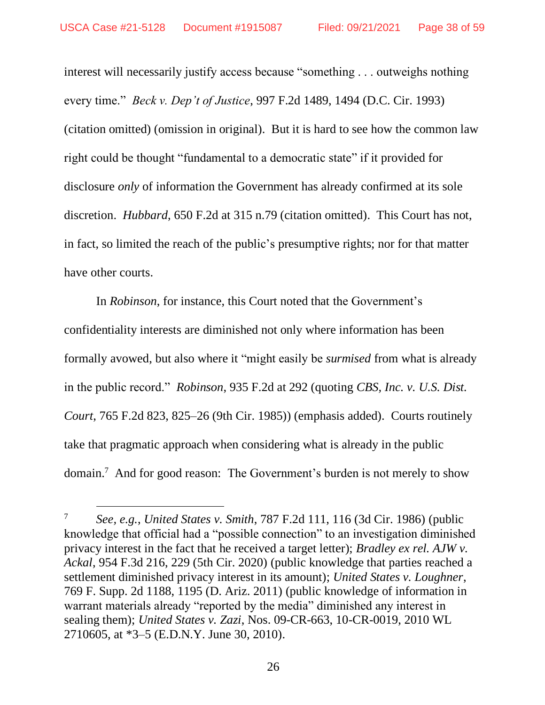interest will necessarily justify access because "something . . . outweighs nothing every time." *Beck v. Dep't of Justice*, 997 F.2d 1489, 1494 (D.C. Cir. 1993) (citation omitted) (omission in original). But it is hard to see how the common law right could be thought "fundamental to a democratic state" if it provided for disclosure *only* of information the Government has already confirmed at its sole discretion. *Hubbard*, 650 F.2d at 315 n.79 (citation omitted). This Court has not, in fact, so limited the reach of the public's presumptive rights; nor for that matter have other courts.

In *Robinson*, for instance, this Court noted that the Government's confidentiality interests are diminished not only where information has been formally avowed, but also where it "might easily be *surmised* from what is already in the public record." *Robinson*, 935 F.2d at 292 (quoting *CBS, Inc. v. U.S. Dist. Court*, 765 F.2d 823, 825–26 (9th Cir. 1985)) (emphasis added). Courts routinely take that pragmatic approach when considering what is already in the public domain. <sup>7</sup> And for good reason: The Government's burden is not merely to show

<sup>7</sup> *See, e.g.*, *United States v. Smith*, 787 F.2d 111, 116 (3d Cir. 1986) (public knowledge that official had a "possible connection" to an investigation diminished privacy interest in the fact that he received a target letter); *Bradley ex rel. AJW v. Ackal*, 954 F.3d 216, 229 (5th Cir. 2020) (public knowledge that parties reached a settlement diminished privacy interest in its amount); *United States v. Loughner*, 769 F. Supp. 2d 1188, 1195 (D. Ariz. 2011) (public knowledge of information in warrant materials already "reported by the media" diminished any interest in sealing them); *United States v. Zazi*, Nos. 09-CR-663, 10-CR-0019, 2010 WL 2710605, at \*3–5 (E.D.N.Y. June 30, 2010).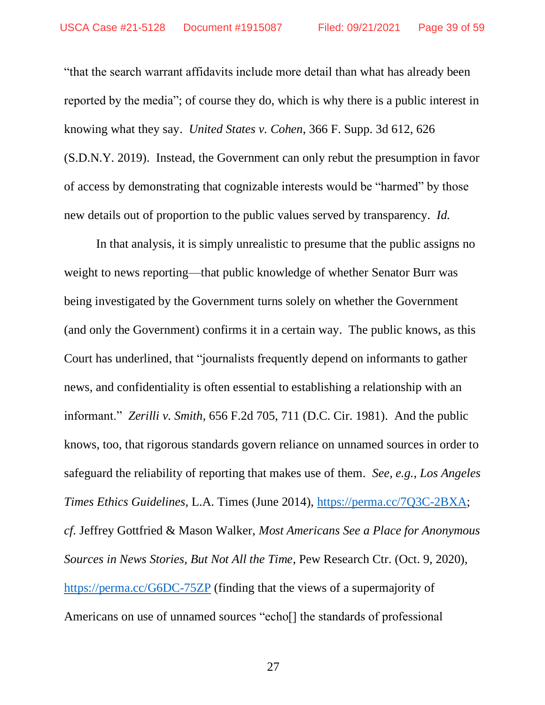"that the search warrant affidavits include more detail than what has already been reported by the media"; of course they do, which is why there is a public interest in knowing what they say. *United States v. Cohen*, 366 F. Supp. 3d 612, 626 (S.D.N.Y. 2019). Instead, the Government can only rebut the presumption in favor of access by demonstrating that cognizable interests would be "harmed" by those new details out of proportion to the public values served by transparency. *Id.*

In that analysis, it is simply unrealistic to presume that the public assigns no weight to news reporting—that public knowledge of whether Senator Burr was being investigated by the Government turns solely on whether the Government (and only the Government) confirms it in a certain way. The public knows, as this Court has underlined, that "journalists frequently depend on informants to gather news, and confidentiality is often essential to establishing a relationship with an informant." *Zerilli v. Smith*, 656 F.2d 705, 711 (D.C. Cir. 1981). And the public knows, too, that rigorous standards govern reliance on unnamed sources in order to safeguard the reliability of reporting that makes use of them. *See, e.g.*, *Los Angeles Times Ethics Guidelines*, L.A. Times (June 2014), https://perma.cc/7Q3C-2BXA; *cf.* Jeffrey Gottfried & Mason Walker, *Most Americans See a Place for Anonymous Sources in News Stories, But Not All the Time*, Pew Research Ctr. (Oct. 9, 2020), https://perma.cc/G6DC-75ZP (finding that the views of a supermajority of Americans on use of unnamed sources "echo<sup>[]</sup> the standards of professional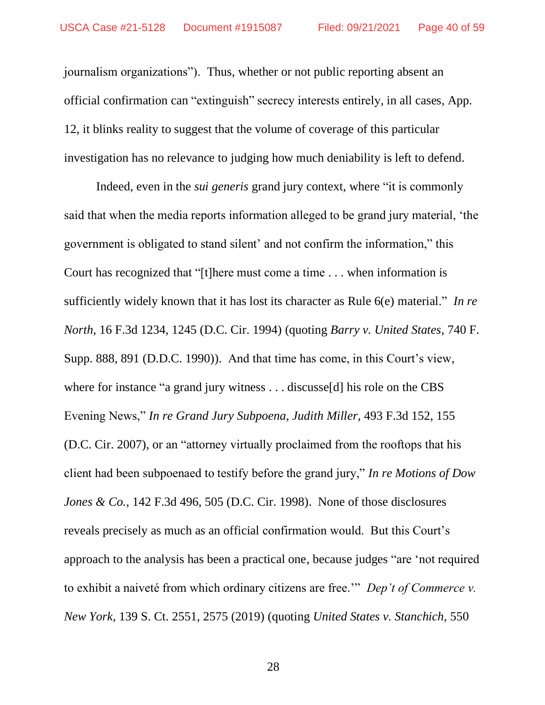journalism organizations"). Thus, whether or not public reporting absent an official confirmation can "extinguish" secrecy interests entirely, in all cases, App. 12, it blinks reality to suggest that the volume of coverage of this particular investigation has no relevance to judging how much deniability is left to defend.

Indeed, even in the *sui generis* grand jury context, where "it is commonly said that when the media reports information alleged to be grand jury material, 'the government is obligated to stand silent' and not confirm the information," this Court has recognized that "[t]here must come a time . . . when information is sufficiently widely known that it has lost its character as Rule 6(e) material." *In re North*, 16 F.3d 1234, 1245 (D.C. Cir. 1994) (quoting *Barry v. United States*, 740 F. Supp. 888, 891 (D.D.C. 1990)). And that time has come, in this Court's view, where for instance "a grand jury witness . . . discusse[d] his role on the CBS Evening News," *In re Grand Jury Subpoena, Judith Miller*, 493 F.3d 152, 155 (D.C. Cir. 2007), or an "attorney virtually proclaimed from the rooftops that his client had been subpoenaed to testify before the grand jury," *In re Motions of Dow Jones & Co.*, 142 F.3d 496, 505 (D.C. Cir. 1998). None of those disclosures reveals precisely as much as an official confirmation would. But this Court's approach to the analysis has been a practical one, because judges "are 'not required to exhibit a naiveté from which ordinary citizens are free.'" *Dep't of Commerce v. New York*, 139 S. Ct. 2551, 2575 (2019) (quoting *United States v. Stanchich*, 550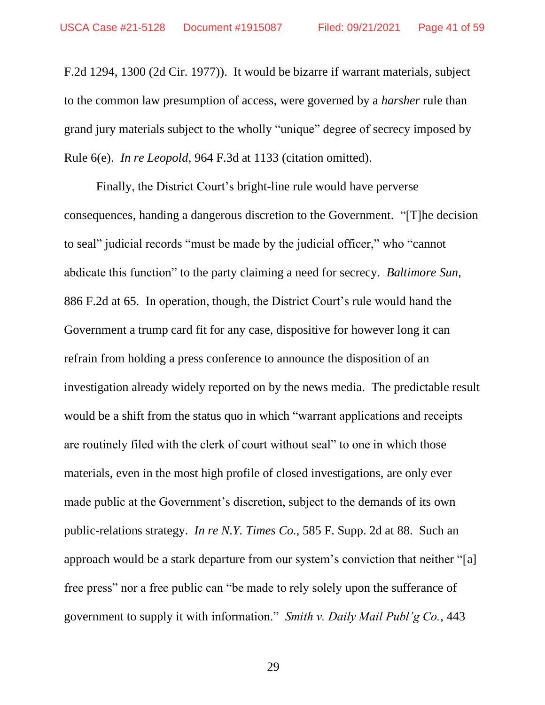F.2d 1294, 1300 (2d Cir. 1977)). It would be bizarre if warrant materials, subject to the common law presumption of access, were governed by a *harsher* rule than grand jury materials subject to the wholly "unique" degree of secrecy imposed by Rule 6(e). *In re Leopold*, 964 F.3d at 1133 (citation omitted).

Finally, the District Court's bright-line rule would have perverse consequences, handing a dangerous discretion to the Government. "[T]he decision to seal" judicial records "must be made by the judicial officer," who "cannot abdicate this function" to the party claiming a need for secrecy. *Baltimore Sun*, 886 F.2d at 65. In operation, though, the District Court's rule would hand the Government a trump card fit for any case, dispositive for however long it can refrain from holding a press conference to announce the disposition of an investigation already widely reported on by the news media. The predictable result would be a shift from the status quo in which "warrant applications and receipts are routinely filed with the clerk of court without seal" to one in which those materials, even in the most high profile of closed investigations, are only ever made public at the Government's discretion, subject to the demands of its own public-relations strategy. *In re N.Y. Times Co.*, 585 F. Supp. 2d at 88. Such an approach would be a stark departure from our system's conviction that neither "[a] free press" nor a free public can "be made to rely solely upon the sufferance of government to supply it with information." *Smith v. Daily Mail Publ'g Co.*, 443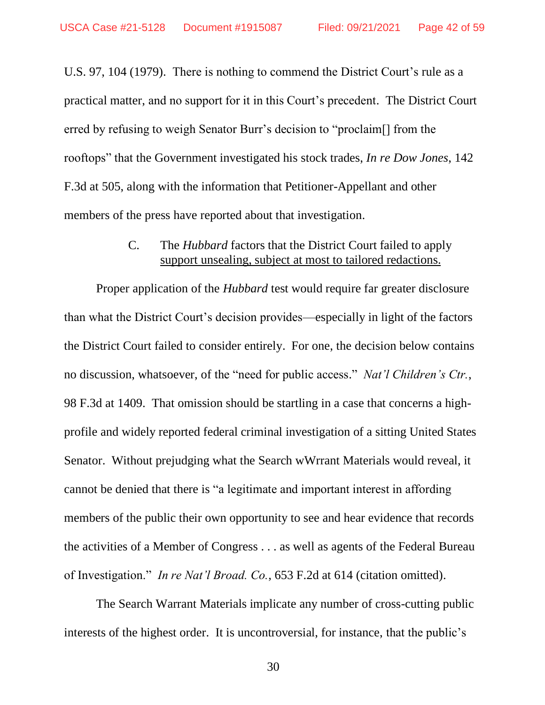U.S. 97, 104 (1979). There is nothing to commend the District Court's rule as a practical matter, and no support for it in this Court's precedent. The District Court erred by refusing to weigh Senator Burr's decision to "proclaim[] from the rooftops" that the Government investigated his stock trades, *In re Dow Jones*, 142 F.3d at 505, along with the information that Petitioner-Appellant and other members of the press have reported about that investigation.

### C. The *Hubbard* factors that the District Court failed to apply support unsealing, subject at most to tailored redactions.

Proper application of the *Hubbard* test would require far greater disclosure than what the District Court's decision provides—especially in light of the factors the District Court failed to consider entirely. For one, the decision below contains no discussion, whatsoever, of the "need for public access." *Nat'l Children's Ctr.*, 98 F.3d at 1409. That omission should be startling in a case that concerns a highprofile and widely reported federal criminal investigation of a sitting United States Senator. Without prejudging what the Search wWrrant Materials would reveal, it cannot be denied that there is "a legitimate and important interest in affording members of the public their own opportunity to see and hear evidence that records the activities of a Member of Congress . . . as well as agents of the Federal Bureau of Investigation." *In re Nat'l Broad. Co.*, 653 F.2d at 614 (citation omitted).

The Search Warrant Materials implicate any number of cross-cutting public interests of the highest order. It is uncontroversial, for instance, that the public's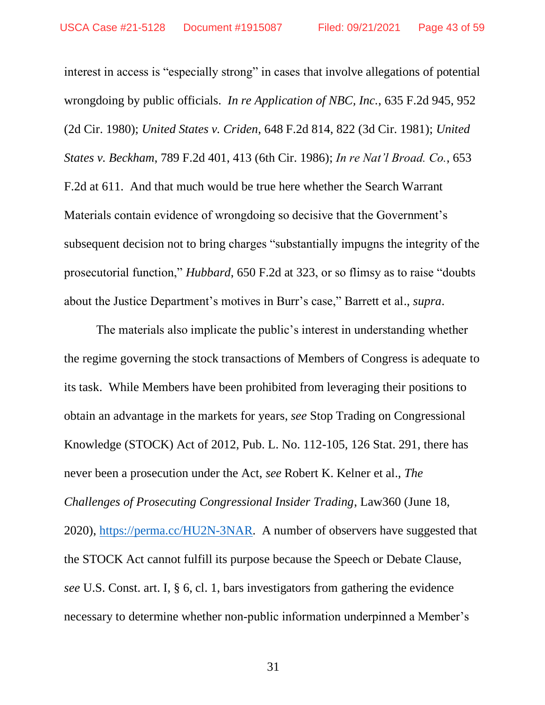interest in access is "especially strong" in cases that involve allegations of potential wrongdoing by public officials. *In re Application of NBC, Inc.*, 635 F.2d 945, 952 (2d Cir. 1980); *United States v. Criden*, 648 F.2d 814, 822 (3d Cir. 1981); *United States v. Beckham*, 789 F.2d 401, 413 (6th Cir. 1986); *In re Nat'l Broad. Co.*, 653 F.2d at 611. And that much would be true here whether the Search Warrant Materials contain evidence of wrongdoing so decisive that the Government's subsequent decision not to bring charges "substantially impugns the integrity of the prosecutorial function," *Hubbard*, 650 F.2d at 323, or so flimsy as to raise "doubts about the Justice Department's motives in Burr's case," Barrett et al., *supra*.

The materials also implicate the public's interest in understanding whether the regime governing the stock transactions of Members of Congress is adequate to its task. While Members have been prohibited from leveraging their positions to obtain an advantage in the markets for years, *see* Stop Trading on Congressional Knowledge (STOCK) Act of 2012, Pub. L. No. 112-105, 126 Stat. 291, there has never been a prosecution under the Act, *see* Robert K. Kelner et al., *The Challenges of Prosecuting Congressional Insider Trading*, Law360 (June 18, 2020), https://perma.cc/HU2N-3NAR. A number of observers have suggested that the STOCK Act cannot fulfill its purpose because the Speech or Debate Clause, *see* U.S. Const. art. I, § 6, cl. 1, bars investigators from gathering the evidence necessary to determine whether non-public information underpinned a Member's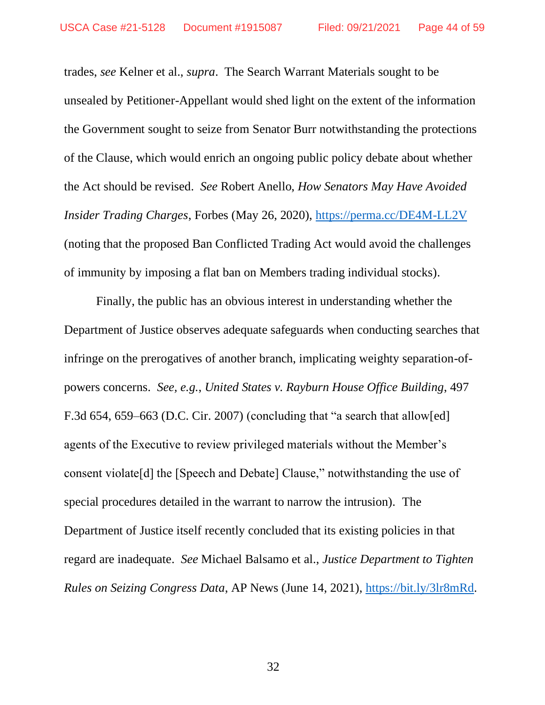trades, *see* Kelner et al., *supra*. The Search Warrant Materials sought to be unsealed by Petitioner-Appellant would shed light on the extent of the information the Government sought to seize from Senator Burr notwithstanding the protections of the Clause, which would enrich an ongoing public policy debate about whether the Act should be revised. *See* Robert Anello, *How Senators May Have Avoided Insider Trading Charges*, Forbes (May 26, 2020), https://perma.cc/DE4M-LL2V (noting that the proposed Ban Conflicted Trading Act would avoid the challenges of immunity by imposing a flat ban on Members trading individual stocks).

Finally, the public has an obvious interest in understanding whether the Department of Justice observes adequate safeguards when conducting searches that infringe on the prerogatives of another branch, implicating weighty separation-ofpowers concerns. *See, e.g.*, *United States v. Rayburn House Office Building*, 497 F.3d 654, 659–663 (D.C. Cir. 2007) (concluding that "a search that allow[ed] agents of the Executive to review privileged materials without the Member's consent violate[d] the [Speech and Debate] Clause," notwithstanding the use of special procedures detailed in the warrant to narrow the intrusion). The Department of Justice itself recently concluded that its existing policies in that regard are inadequate. *See* Michael Balsamo et al., *Justice Department to Tighten Rules on Seizing Congress Data*, AP News (June 14, 2021), https://bit.ly/3lr8mRd.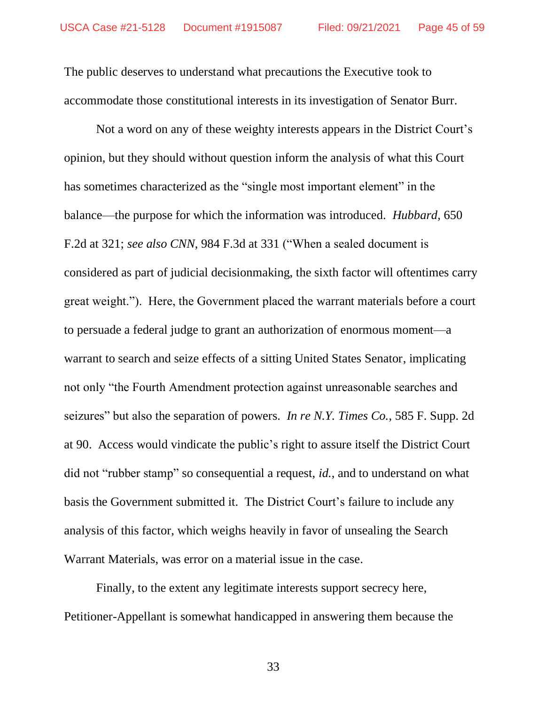The public deserves to understand what precautions the Executive took to accommodate those constitutional interests in its investigation of Senator Burr.

Not a word on any of these weighty interests appears in the District Court's opinion, but they should without question inform the analysis of what this Court has sometimes characterized as the "single most important element" in the balance—the purpose for which the information was introduced. *Hubbard*, 650 F.2d at 321; *see also CNN*, 984 F.3d at 331 ("When a sealed document is considered as part of judicial decisionmaking, the sixth factor will oftentimes carry great weight."). Here, the Government placed the warrant materials before a court to persuade a federal judge to grant an authorization of enormous moment—a warrant to search and seize effects of a sitting United States Senator, implicating not only "the Fourth Amendment protection against unreasonable searches and seizures" but also the separation of powers. *In re N.Y. Times Co.*, 585 F. Supp. 2d at 90. Access would vindicate the public's right to assure itself the District Court did not "rubber stamp" so consequential a request, *id.*, and to understand on what basis the Government submitted it. The District Court's failure to include any analysis of this factor, which weighs heavily in favor of unsealing the Search Warrant Materials, was error on a material issue in the case.

Finally, to the extent any legitimate interests support secrecy here, Petitioner-Appellant is somewhat handicapped in answering them because the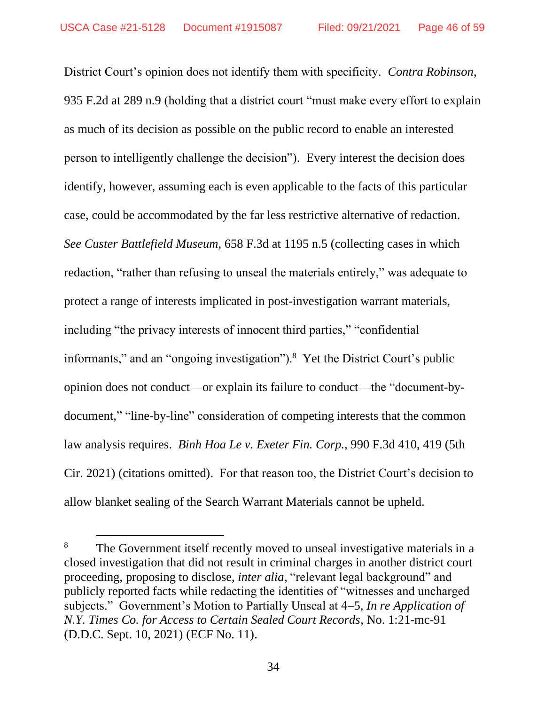District Court's opinion does not identify them with specificity. *Contra Robinson*, 935 F.2d at 289 n.9 (holding that a district court "must make every effort to explain as much of its decision as possible on the public record to enable an interested person to intelligently challenge the decision"). Every interest the decision does identify, however, assuming each is even applicable to the facts of this particular case, could be accommodated by the far less restrictive alternative of redaction. *See Custer Battlefield Museum*, 658 F.3d at 1195 n.5 (collecting cases in which redaction, "rather than refusing to unseal the materials entirely," was adequate to protect a range of interests implicated in post-investigation warrant materials, including "the privacy interests of innocent third parties," "confidential informants," and an "ongoing investigation").<sup>8</sup> Yet the District Court's public opinion does not conduct—or explain its failure to conduct—the "document-bydocument," "line-by-line" consideration of competing interests that the common law analysis requires. *Binh Hoa Le v. Exeter Fin. Corp.*, 990 F.3d 410, 419 (5th Cir. 2021) (citations omitted). For that reason too, the District Court's decision to allow blanket sealing of the Search Warrant Materials cannot be upheld.

<sup>&</sup>lt;sup>8</sup> The Government itself recently moved to unseal investigative materials in a closed investigation that did not result in criminal charges in another district court proceeding, proposing to disclose, *inter alia*, "relevant legal background" and publicly reported facts while redacting the identities of "witnesses and uncharged subjects." Government's Motion to Partially Unseal at 4–5, *In re Application of N.Y. Times Co. for Access to Certain Sealed Court Records*, No. 1:21-mc-91 (D.D.C. Sept. 10, 2021) (ECF No. 11).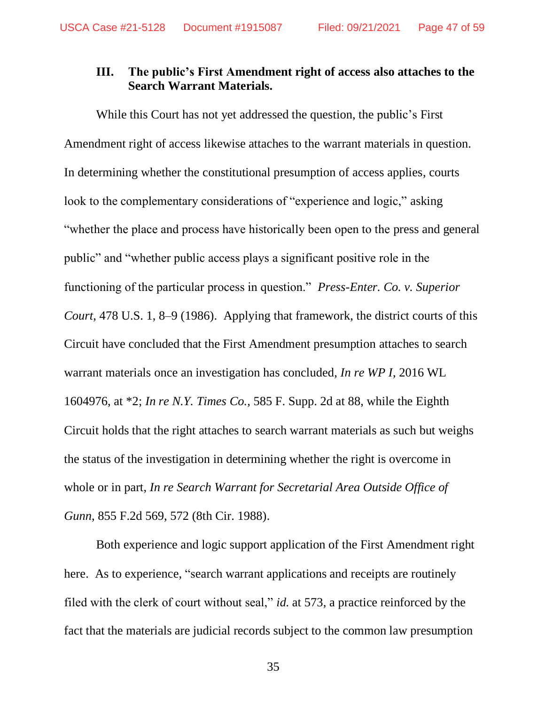### **III. The public's First Amendment right of access also attaches to the Search Warrant Materials.**

While this Court has not yet addressed the question, the public's First Amendment right of access likewise attaches to the warrant materials in question. In determining whether the constitutional presumption of access applies, courts look to the complementary considerations of "experience and logic," asking "whether the place and process have historically been open to the press and general public" and "whether public access plays a significant positive role in the functioning of the particular process in question." *Press-Enter. Co. v. Superior Court*, 478 U.S. 1, 8–9 (1986). Applying that framework, the district courts of this Circuit have concluded that the First Amendment presumption attaches to search warrant materials once an investigation has concluded, *In re WP I*, 2016 WL 1604976, at \*2; *In re N.Y. Times Co.*, 585 F. Supp. 2d at 88, while the Eighth Circuit holds that the right attaches to search warrant materials as such but weighs the status of the investigation in determining whether the right is overcome in whole or in part, *In re Search Warrant for Secretarial Area Outside Office of Gunn*, 855 F.2d 569, 572 (8th Cir. 1988).

Both experience and logic support application of the First Amendment right here. As to experience, "search warrant applications and receipts are routinely filed with the clerk of court without seal," *id.* at 573, a practice reinforced by the fact that the materials are judicial records subject to the common law presumption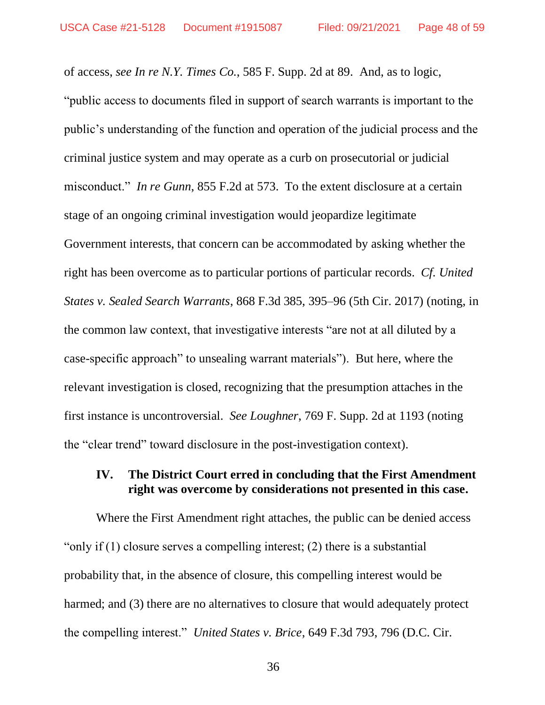of access, *see In re N.Y. Times Co.*, 585 F. Supp. 2d at 89. And, as to logic, "public access to documents filed in support of search warrants is important to the public's understanding of the function and operation of the judicial process and the criminal justice system and may operate as a curb on prosecutorial or judicial misconduct." *In re Gunn*, 855 F.2d at 573. To the extent disclosure at a certain stage of an ongoing criminal investigation would jeopardize legitimate Government interests, that concern can be accommodated by asking whether the right has been overcome as to particular portions of particular records. *Cf. United States v. Sealed Search Warrants*, 868 F.3d 385, 395–96 (5th Cir. 2017) (noting, in the common law context, that investigative interests "are not at all diluted by a case-specific approach" to unsealing warrant materials"). But here, where the relevant investigation is closed, recognizing that the presumption attaches in the first instance is uncontroversial. *See Loughner*, 769 F. Supp. 2d at 1193 (noting the "clear trend" toward disclosure in the post-investigation context).

### **IV. The District Court erred in concluding that the First Amendment right was overcome by considerations not presented in this case.**

Where the First Amendment right attaches, the public can be denied access "only if (1) closure serves a compelling interest; (2) there is a substantial probability that, in the absence of closure, this compelling interest would be harmed; and (3) there are no alternatives to closure that would adequately protect the compelling interest." *United States v. Brice*, 649 F.3d 793, 796 (D.C. Cir.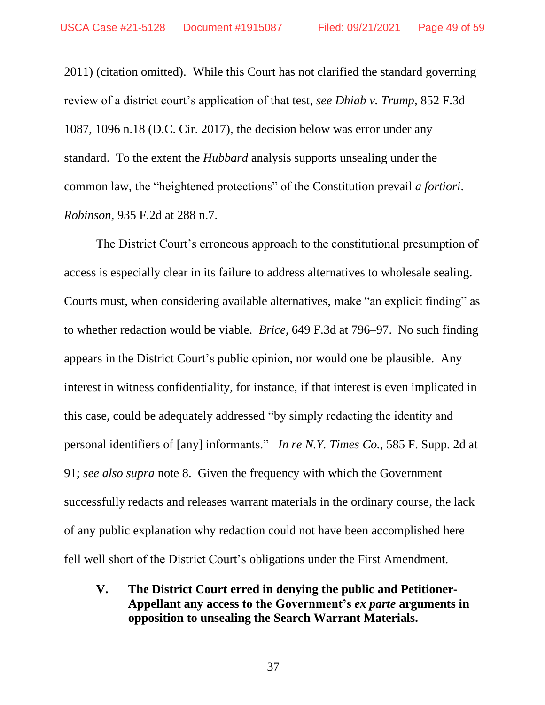2011) (citation omitted).While this Court has not clarified the standard governing review of a district court's application of that test, *see Dhiab v. Trump*, 852 F.3d 1087, 1096 n.18 (D.C. Cir. 2017), the decision below was error under any standard. To the extent the *Hubbard* analysis supports unsealing under the common law, the "heightened protections" of the Constitution prevail *a fortiori*. *Robinson*, 935 F.2d at 288 n.7.

The District Court's erroneous approach to the constitutional presumption of access is especially clear in its failure to address alternatives to wholesale sealing. Courts must, when considering available alternatives, make "an explicit finding" as to whether redaction would be viable. *Brice*, 649 F.3d at 796–97. No such finding appears in the District Court's public opinion, nor would one be plausible. Any interest in witness confidentiality, for instance, if that interest is even implicated in this case, could be adequately addressed "by simply redacting the identity and personal identifiers of [any] informants." *In re N.Y. Times Co.*, 585 F. Supp. 2d at 91; *see also supra* note 8. Given the frequency with which the Government successfully redacts and releases warrant materials in the ordinary course, the lack of any public explanation why redaction could not have been accomplished here fell well short of the District Court's obligations under the First Amendment.

**V. The District Court erred in denying the public and Petitioner-Appellant any access to the Government's** *ex parte* **arguments in opposition to unsealing the Search Warrant Materials.**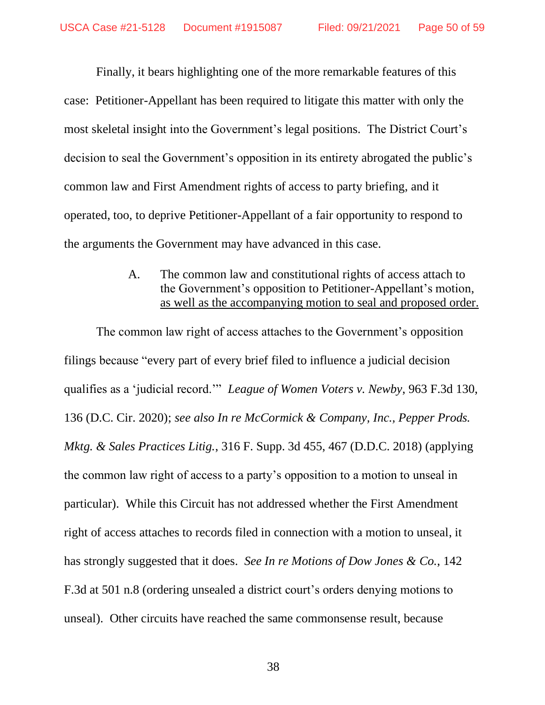Finally, it bears highlighting one of the more remarkable features of this case: Petitioner-Appellant has been required to litigate this matter with only the most skeletal insight into the Government's legal positions. The District Court's decision to seal the Government's opposition in its entirety abrogated the public's common law and First Amendment rights of access to party briefing, and it operated, too, to deprive Petitioner-Appellant of a fair opportunity to respond to the arguments the Government may have advanced in this case.

> A. The common law and constitutional rights of access attach to the Government's opposition to Petitioner-Appellant's motion, as well as the accompanying motion to seal and proposed order.

The common law right of access attaches to the Government's opposition filings because "every part of every brief filed to influence a judicial decision qualifies as a 'judicial record.'" *League of Women Voters v. Newby*, 963 F.3d 130, 136 (D.C. Cir. 2020); *see also In re McCormick & Company, Inc., Pepper Prods. Mktg. & Sales Practices Litig.*, 316 F. Supp. 3d 455, 467 (D.D.C. 2018) (applying the common law right of access to a party's opposition to a motion to unseal in particular). While this Circuit has not addressed whether the First Amendment right of access attaches to records filed in connection with a motion to unseal, it has strongly suggested that it does. *See In re Motions of Dow Jones & Co.*, 142 F.3d at 501 n.8 (ordering unsealed a district court's orders denying motions to unseal). Other circuits have reached the same commonsense result, because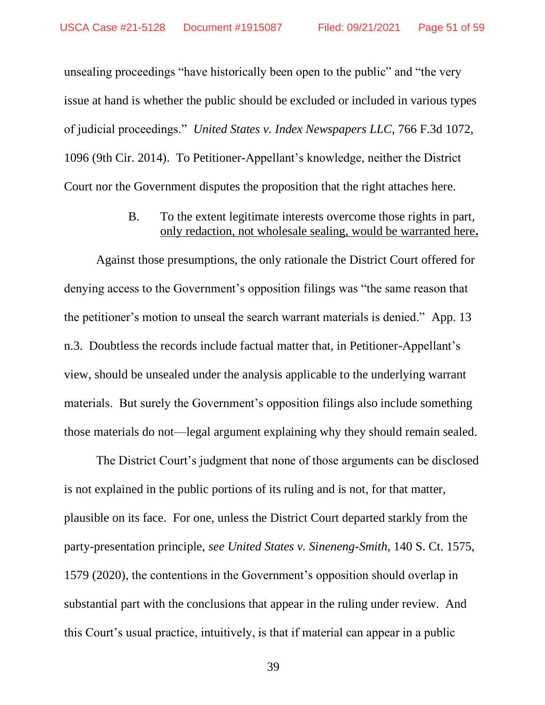unsealing proceedings "have historically been open to the public" and "the very issue at hand is whether the public should be excluded or included in various types of judicial proceedings." *United States v. Index Newspapers LLC*, 766 F.3d 1072, 1096 (9th Cir. 2014). To Petitioner-Appellant's knowledge, neither the District Court nor the Government disputes the proposition that the right attaches here.

### B. To the extent legitimate interests overcome those rights in part, only redaction, not wholesale sealing, would be warranted here**.**

Against those presumptions, the only rationale the District Court offered for denying access to the Government's opposition filings was "the same reason that the petitioner's motion to unseal the search warrant materials is denied." App. 13 n.3. Doubtless the records include factual matter that, in Petitioner-Appellant's view, should be unsealed under the analysis applicable to the underlying warrant materials. But surely the Government's opposition filings also include something those materials do not—legal argument explaining why they should remain sealed.

The District Court's judgment that none of those arguments can be disclosed is not explained in the public portions of its ruling and is not, for that matter, plausible on its face. For one, unless the District Court departed starkly from the party-presentation principle, *see United States v. Sineneng-Smith*, 140 S. Ct. 1575, 1579 (2020), the contentions in the Government's opposition should overlap in substantial part with the conclusions that appear in the ruling under review. And this Court's usual practice, intuitively, is that if material can appear in a public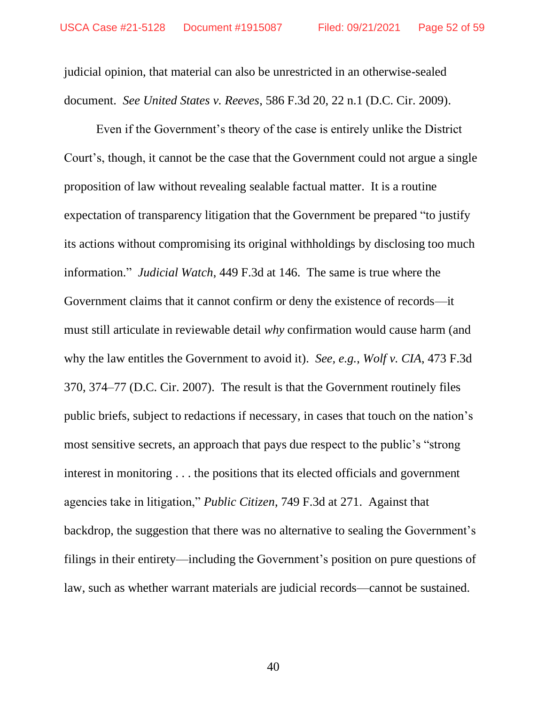judicial opinion, that material can also be unrestricted in an otherwise-sealed document. *See United States v. Reeves*, 586 F.3d 20, 22 n.1 (D.C. Cir. 2009).

Even if the Government's theory of the case is entirely unlike the District Court's, though, it cannot be the case that the Government could not argue a single proposition of law without revealing sealable factual matter. It is a routine expectation of transparency litigation that the Government be prepared "to justify its actions without compromising its original withholdings by disclosing too much information." *Judicial Watch*, 449 F.3d at 146. The same is true where the Government claims that it cannot confirm or deny the existence of records—it must still articulate in reviewable detail *why* confirmation would cause harm (and why the law entitles the Government to avoid it). *See, e.g.*, *Wolf v. CIA*, 473 F.3d 370, 374–77 (D.C. Cir. 2007). The result is that the Government routinely files public briefs, subject to redactions if necessary, in cases that touch on the nation's most sensitive secrets, an approach that pays due respect to the public's "strong interest in monitoring . . . the positions that its elected officials and government agencies take in litigation," *Public Citizen*, 749 F.3d at 271. Against that backdrop, the suggestion that there was no alternative to sealing the Government's filings in their entirety—including the Government's position on pure questions of law, such as whether warrant materials are judicial records—cannot be sustained.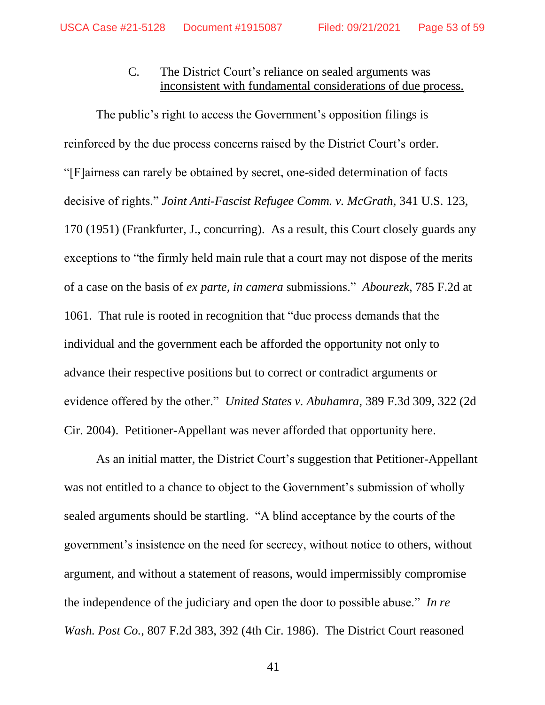## C. The District Court's reliance on sealed arguments was inconsistent with fundamental considerations of due process.

The public's right to access the Government's opposition filings is reinforced by the due process concerns raised by the District Court's order. "[F]airness can rarely be obtained by secret, one-sided determination of facts decisive of rights." *Joint Anti-Fascist Refugee Comm. v. McGrath*, 341 U.S. 123, 170 (1951) (Frankfurter, J., concurring). As a result, this Court closely guards any exceptions to "the firmly held main rule that a court may not dispose of the merits of a case on the basis of *ex parte*, *in camera* submissions." *Abourezk*, 785 F.2d at 1061. That rule is rooted in recognition that "due process demands that the individual and the government each be afforded the opportunity not only to advance their respective positions but to correct or contradict arguments or evidence offered by the other." *United States v. Abuhamra*, 389 F.3d 309, 322 (2d Cir. 2004). Petitioner-Appellant was never afforded that opportunity here.

As an initial matter, the District Court's suggestion that Petitioner-Appellant was not entitled to a chance to object to the Government's submission of wholly sealed arguments should be startling. "A blind acceptance by the courts of the government's insistence on the need for secrecy, without notice to others, without argument, and without a statement of reasons, would impermissibly compromise the independence of the judiciary and open the door to possible abuse." *In re Wash. Post Co.*, 807 F.2d 383, 392 (4th Cir. 1986). The District Court reasoned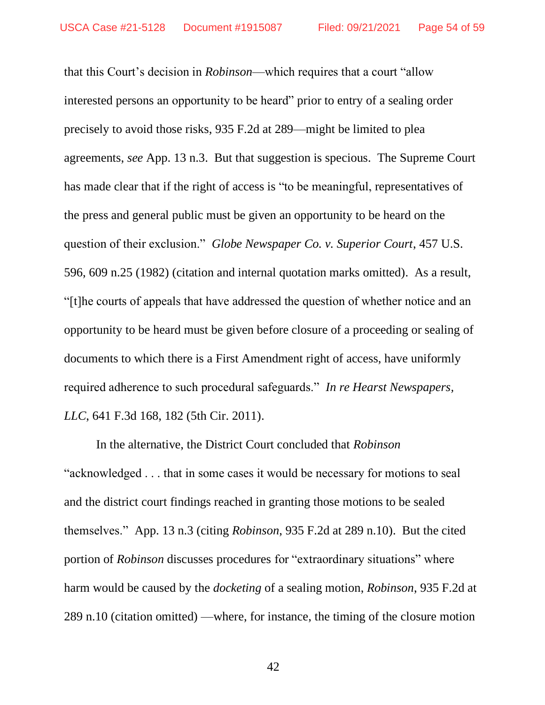that this Court's decision in *Robinson*—which requires that a court "allow interested persons an opportunity to be heard" prior to entry of a sealing order precisely to avoid those risks, 935 F.2d at 289—might be limited to plea agreements, *see* App. 13 n.3. But that suggestion is specious. The Supreme Court has made clear that if the right of access is "to be meaningful, representatives of the press and general public must be given an opportunity to be heard on the question of their exclusion." *Globe Newspaper Co. v. Superior Court*, 457 U.S. 596, 609 n.25 (1982) (citation and internal quotation marks omitted). As a result, "[t]he courts of appeals that have addressed the question of whether notice and an opportunity to be heard must be given before closure of a proceeding or sealing of documents to which there is a First Amendment right of access, have uniformly required adherence to such procedural safeguards." *In re Hearst Newspapers, LLC*, 641 F.3d 168, 182 (5th Cir. 2011).

In the alternative, the District Court concluded that *Robinson*  "acknowledged . . . that in some cases it would be necessary for motions to seal and the district court findings reached in granting those motions to be sealed themselves." App. 13 n.3 (citing *Robinson*, 935 F.2d at 289 n.10). But the cited portion of *Robinson* discusses procedures for "extraordinary situations" where harm would be caused by the *docketing* of a sealing motion, *Robinson*, 935 F.2d at 289 n.10 (citation omitted) —where, for instance, the timing of the closure motion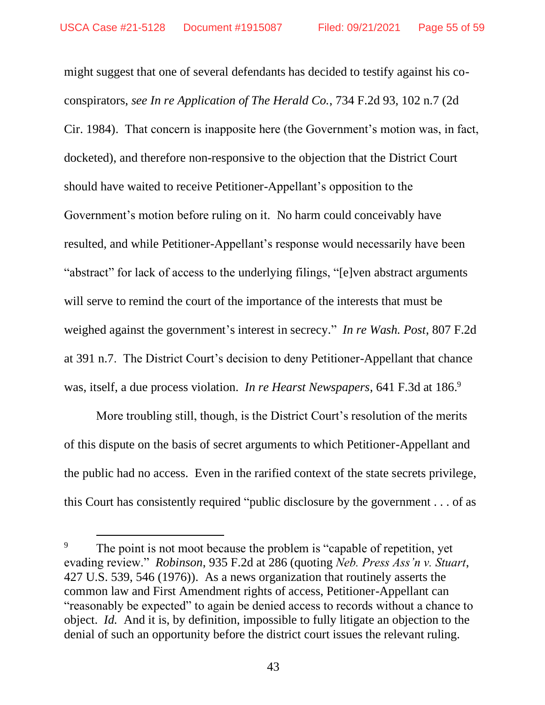might suggest that one of several defendants has decided to testify against his coconspirators, *see In re Application of The Herald Co.*, 734 F.2d 93, 102 n.7 (2d Cir. 1984). That concern is inapposite here (the Government's motion was, in fact, docketed), and therefore non-responsive to the objection that the District Court should have waited to receive Petitioner-Appellant's opposition to the Government's motion before ruling on it. No harm could conceivably have resulted, and while Petitioner-Appellant's response would necessarily have been "abstract" for lack of access to the underlying filings, "[e]ven abstract arguments will serve to remind the court of the importance of the interests that must be weighed against the government's interest in secrecy." *In re Wash. Post*, 807 F.2d at 391 n.7. The District Court's decision to deny Petitioner-Appellant that chance was, itself, a due process violation. *In re Hearst Newspapers*, 641 F.3d at 186. 9

More troubling still, though, is the District Court's resolution of the merits of this dispute on the basis of secret arguments to which Petitioner-Appellant and the public had no access. Even in the rarified context of the state secrets privilege, this Court has consistently required "public disclosure by the government . . . of as

<sup>&</sup>lt;sup>9</sup> The point is not moot because the problem is "capable of repetition, yet evading review." *Robinson*, 935 F.2d at 286 (quoting *Neb. Press Ass'n v. Stuart*, 427 U.S. 539, 546 (1976)). As a news organization that routinely asserts the common law and First Amendment rights of access, Petitioner-Appellant can "reasonably be expected" to again be denied access to records without a chance to object. *Id.* And it is, by definition, impossible to fully litigate an objection to the denial of such an opportunity before the district court issues the relevant ruling.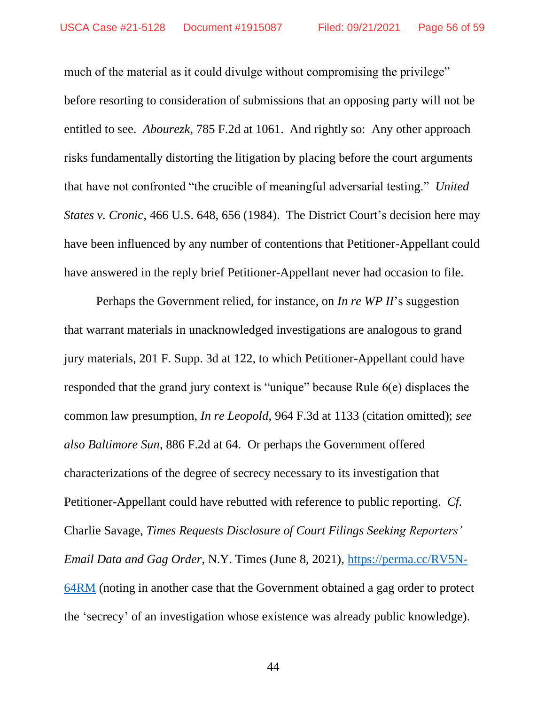much of the material as it could divulge without compromising the privilege" before resorting to consideration of submissions that an opposing party will not be entitled to see. *Abourezk*, 785 F.2d at 1061. And rightly so: Any other approach risks fundamentally distorting the litigation by placing before the court arguments that have not confronted "the crucible of meaningful adversarial testing." *United States v. Cronic*, 466 U.S. 648, 656 (1984). The District Court's decision here may have been influenced by any number of contentions that Petitioner-Appellant could have answered in the reply brief Petitioner-Appellant never had occasion to file.

Perhaps the Government relied, for instance, on *In re WP II*'s suggestion that warrant materials in unacknowledged investigations are analogous to grand jury materials, 201 F. Supp. 3d at 122, to which Petitioner-Appellant could have responded that the grand jury context is "unique" because Rule 6(e) displaces the common law presumption, *In re Leopold*, 964 F.3d at 1133 (citation omitted); *see also Baltimore Sun*, 886 F.2d at 64. Or perhaps the Government offered characterizations of the degree of secrecy necessary to its investigation that Petitioner-Appellant could have rebutted with reference to public reporting. *Cf.*  Charlie Savage, *Times Requests Disclosure of Court Filings Seeking Reporters' Email Data and Gag Order*, N.Y. Times (June 8, 2021), https://perma.cc/RV5N-64RM (noting in another case that the Government obtained a gag order to protect the 'secrecy' of an investigation whose existence was already public knowledge).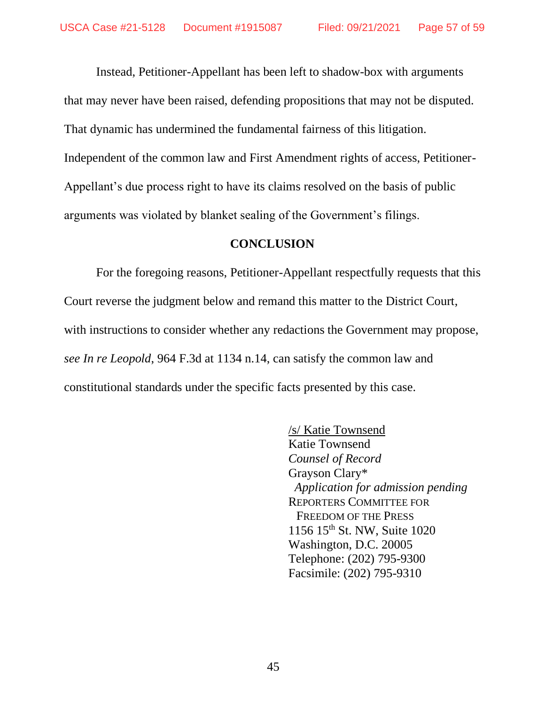Instead, Petitioner-Appellant has been left to shadow-box with arguments that may never have been raised, defending propositions that may not be disputed. That dynamic has undermined the fundamental fairness of this litigation. Independent of the common law and First Amendment rights of access, Petitioner-Appellant's due process right to have its claims resolved on the basis of public arguments was violated by blanket sealing of the Government's filings.

#### **CONCLUSION**

For the foregoing reasons, Petitioner-Appellant respectfully requests that this Court reverse the judgment below and remand this matter to the District Court, with instructions to consider whether any redactions the Government may propose, *see In re Leopold*, 964 F.3d at 1134 n.14, can satisfy the common law and constitutional standards under the specific facts presented by this case.

> /s/ Katie Townsend Katie Townsend *Counsel of Record* Grayson Clary\*  *Application for admission pending* REPORTERS COMMITTEE FOR FREEDOM OF THE PRESS 1156 15th St. NW, Suite 1020 Washington, D.C. 20005 Telephone: (202) 795-9300 Facsimile: (202) 795-9310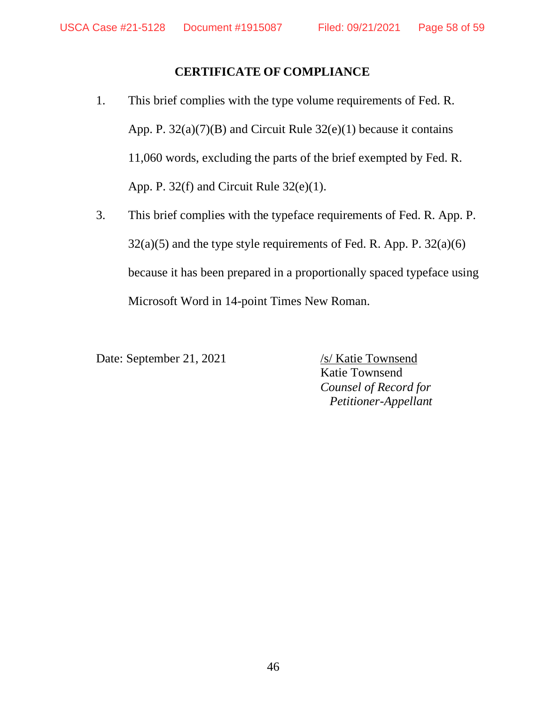## **CERTIFICATE OF COMPLIANCE**

- 1. This brief complies with the type volume requirements of Fed. R. App. P. 32(a)(7)(B) and Circuit Rule 32(e)(1) because it contains 11,060 words, excluding the parts of the brief exempted by Fed. R. App. P. 32(f) and Circuit Rule 32(e)(1).
- 3. This brief complies with the typeface requirements of Fed. R. App. P.  $32(a)(5)$  and the type style requirements of Fed. R. App. P.  $32(a)(6)$ because it has been prepared in a proportionally spaced typeface using Microsoft Word in 14-point Times New Roman.

Date: September 21, 2021 /s/ Katie Townsend

Katie Townsend *Counsel of Record for Petitioner-Appellant*